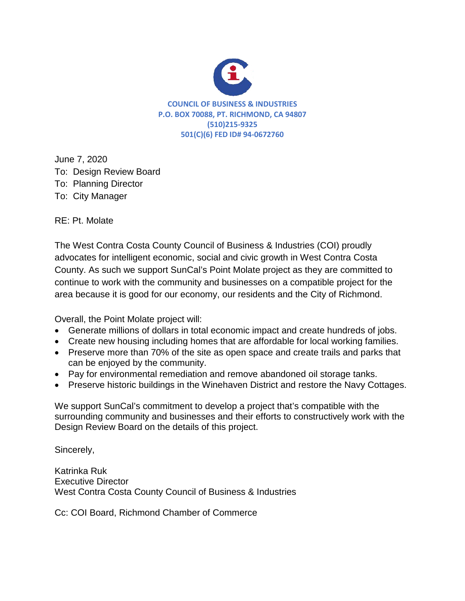| From:                  | Cordell Hindler <cordellhindler@ymail.com></cordellhindler@ymail.com> |
|------------------------|-----------------------------------------------------------------------|
| Sent:                  | Monday, June 08, 2020 9:35 PM                                         |
| To:                    | <b>DRBcomments</b>                                                    |
| Subject:               | <b>Public Comments</b>                                                |
| <b>Follow Up Flag:</b> | Follow up                                                             |
| <b>Flag Status:</b>    | Flagged                                                               |

hello Chair Livingston, Board Members, i have a couple of Comments to go into the Record

1. in Regarding the Aspire Academy item that was Approved a few Months Back, Fairmede hilltop was not happy that the applicant did not communicate with the council in addressing the concerns with the building's location.

2. also in regarding the El Tapatio restaurant Expansion, the applicant needs to communicate with the North & East neighborhood council once this virus gets lifted up.

in conclusion that before any applicants present their projects to the board, they have to speak with the neighborhood councils

sincerely Cordell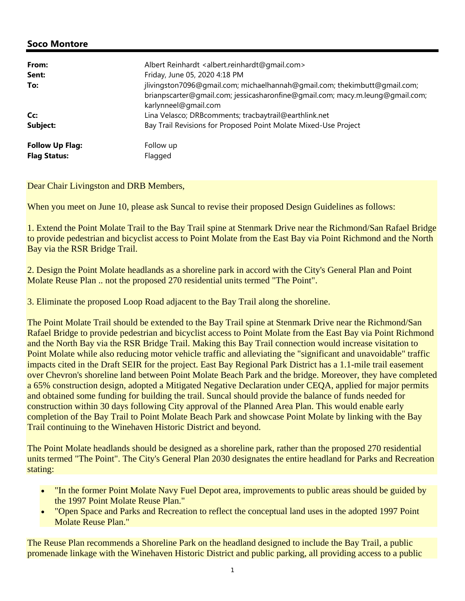

**COUNCIL OF BUSINESS & INDUSTRIES P.O. BOX 70088, PT. RICHMOND, CA 94807 (510)215-9325 501(C)(6) FED ID# 94-0672760**

June 7, 2020 To: Design Review Board To: Planning Director To: City Manager

RE: Pt. Molate

The West Contra Costa County Council of Business & Industries (COI) proudly advocates for intelligent economic, social and civic growth in West Contra Costa County. As such we support SunCal's Point Molate project as they are committed to continue to work with the community and businesses on a compatible project for the area because it is good for our economy, our residents and the City of Richmond.

Overall, the Point Molate project will:

- Generate millions of dollars in total economic impact and create hundreds of jobs.
- Create new housing including homes that are affordable for local working families.
- Preserve more than 70% of the site as open space and create trails and parks that can be enjoyed by the community.
- Pay for environmental remediation and remove abandoned oil storage tanks.
- Preserve historic buildings in the Winehaven District and restore the Navy Cottages.

We support SunCal's commitment to develop a project that's compatible with the surrounding community and businesses and their efforts to constructively work with the Design Review Board on the details of this project.

Sincerely,

Katrinka Ruk Executive Director West Contra Costa County Council of Business & Industries

Cc: COI Board, Richmond Chamber of Commerce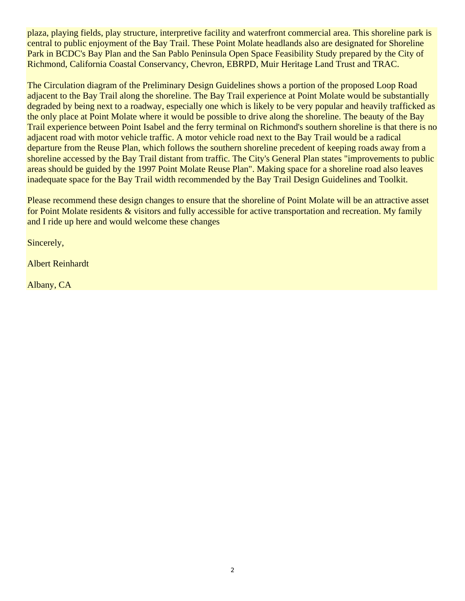| From:<br>Sent:<br>To:                         | Albert Reinhardt <albert.reinhardt@gmail.com><br/>Friday, June 05, 2020 4:18 PM<br/>jlivingston7096@gmail.com; michaelhannah@gmail.com; thekimbutt@gmail.com;<br/>brianpscarter@gmail.com; jessicasharonfine@gmail.com; macy.m.leung@gmail.com;</albert.reinhardt@gmail.com> |
|-----------------------------------------------|------------------------------------------------------------------------------------------------------------------------------------------------------------------------------------------------------------------------------------------------------------------------------|
| Cc:<br>Subject:                               | karlynneel@gmail.com<br>Lina Velasco; DRBcomments; tracbaytrail@earthlink.net<br>Bay Trail Revisions for Proposed Point Molate Mixed-Use Project                                                                                                                             |
| <b>Follow Up Flag:</b><br><b>Flag Status:</b> | Follow up<br>Flagged                                                                                                                                                                                                                                                         |

Dear Chair Livingston and DRB Members,

When you meet on June 10, please ask Suncal to revise their proposed Design Guidelines as follows:

1. Extend the Point Molate Trail to the Bay Trail spine at Stenmark Drive near the Richmond/San Rafael Bridge to provide pedestrian and bicyclist access to Point Molate from the East Bay via Point Richmond and the North Bay via the RSR Bridge Trail.

2. Design the Point Molate headlands as a shoreline park in accord with the City's General Plan and Point Molate Reuse Plan .. not the proposed 270 residential units termed "The Point".

3. Eliminate the proposed Loop Road adjacent to the Bay Trail along the shoreline.

The Point Molate Trail should be extended to the Bay Trail spine at Stenmark Drive near the Richmond/San Rafael Bridge to provide pedestrian and bicyclist access to Point Molate from the East Bay via Point Richmond and the North Bay via the RSR Bridge Trail. Making this Bay Trail connection would increase visitation to Point Molate while also reducing motor vehicle traffic and alleviating the "significant and unavoidable" traffic impacts cited in the Draft SEIR for the project. East Bay Regional Park District has a 1.1-mile trail easement over Chevron's shoreline land between Point Molate Beach Park and the bridge. Moreover, they have completed a 65% construction design, adopted a Mitigated Negative Declaration under CEQA, applied for major permits and obtained some funding for building the trail. Suncal should provide the balance of funds needed for construction within 30 days following City approval of the Planned Area Plan. This would enable early completion of the Bay Trail to Point Molate Beach Park and showcase Point Molate by linking with the Bay Trail continuing to the Winehaven Historic District and beyond.

The Point Molate headlands should be designed as a shoreline park, rather than the proposed 270 residential units termed "The Point". The City's General Plan 2030 designates the entire headland for Parks and Recreation stating:

- "In the former Point Molate Navy Fuel Depot area, improvements to public areas should be guided by the 1997 Point Molate Reuse Plan."
- "Open Space and Parks and Recreation to reflect the conceptual land uses in the adopted 1997 Point Molate Reuse Plan."

The Reuse Plan recommends a Shoreline Park on the headland designed to include the Bay Trail, a public promenade linkage with the Winehaven Historic District and public parking, all providing access to a public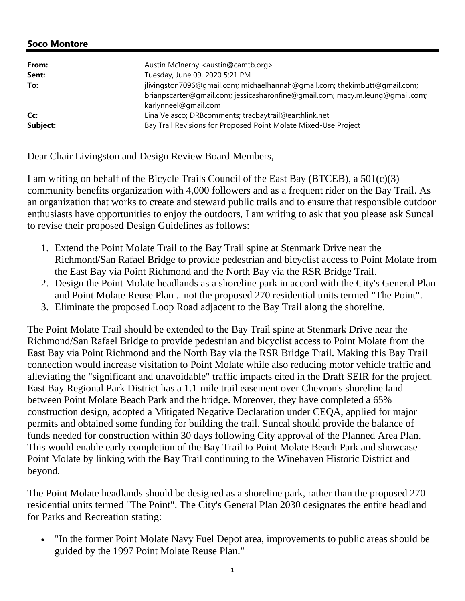plaza, playing fields, play structure, interpretive facility and waterfront commercial area. This shoreline park is central to public enjoyment of the Bay Trail. These Point Molate headlands also are designated for Shoreline Park in BCDC's Bay Plan and the San Pablo Peninsula Open Space Feasibility Study prepared by the City of Richmond, California Coastal Conservancy, Chevron, EBRPD, Muir Heritage Land Trust and TRAC.

The Circulation diagram of the Preliminary Design Guidelines shows a portion of the proposed Loop Road adjacent to the Bay Trail along the shoreline. The Bay Trail experience at Point Molate would be substantially degraded by being next to a roadway, especially one which is likely to be very popular and heavily trafficked as the only place at Point Molate where it would be possible to drive along the shoreline. The beauty of the Bay Trail experience between Point Isabel and the ferry terminal on Richmond's southern shoreline is that there is no adjacent road with motor vehicle traffic. A motor vehicle road next to the Bay Trail would be a radical departure from the Reuse Plan, which follows the southern shoreline precedent of keeping roads away from a shoreline accessed by the Bay Trail distant from traffic. The City's General Plan states "improvements to public areas should be guided by the 1997 Point Molate Reuse Plan". Making space for a shoreline road also leaves inadequate space for the Bay Trail width recommended by the Bay Trail Design Guidelines and Toolkit.

Please recommend these design changes to ensure that the shoreline of Point Molate will be an attractive asset for Point Molate residents & visitors and fully accessible for active transportation and recreation. My family and I ride up here and would welcome these changes

Sincerely,

Albert Reinhardt

Albany, CA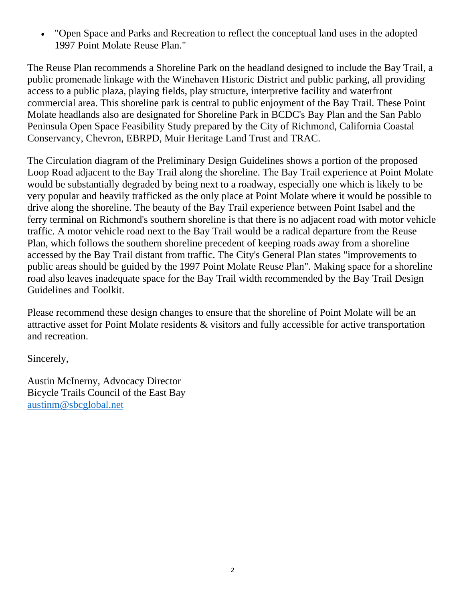| From:<br>Sent: | Austin McInerny <austin@camtb.org><br/>Tuesday, June 09, 2020 5:21 PM</austin@camtb.org>                                                                                           |
|----------------|------------------------------------------------------------------------------------------------------------------------------------------------------------------------------------|
| To:            | jlivingston7096@gmail.com; michaelhannah@gmail.com; thekimbutt@gmail.com;<br>brianpscarter@gmail.com; jessicasharonfine@gmail.com; macy.m.leung@gmail.com;<br>karlynneel@gmail.com |
| Cc:            | Lina Velasco; DRBcomments; tracbaytrail@earthlink.net                                                                                                                              |
| Subject:       | Bay Trail Revisions for Proposed Point Molate Mixed-Use Project                                                                                                                    |

Dear Chair Livingston and Design Review Board Members,

I am writing on behalf of the Bicycle Trails Council of the East Bay (BTCEB), a 501(c)(3) community benefits organization with 4,000 followers and as a frequent rider on the Bay Trail. As an organization that works to create and steward public trails and to ensure that responsible outdoor enthusiasts have opportunities to enjoy the outdoors, I am writing to ask that you please ask Suncal to revise their proposed Design Guidelines as follows:

- 1. Extend the Point Molate Trail to the Bay Trail spine at Stenmark Drive near the Richmond/San Rafael Bridge to provide pedestrian and bicyclist access to Point Molate from the East Bay via Point Richmond and the North Bay via the RSR Bridge Trail.
- 2. Design the Point Molate headlands as a shoreline park in accord with the City's General Plan and Point Molate Reuse Plan .. not the proposed 270 residential units termed "The Point".
- 3. Eliminate the proposed Loop Road adjacent to the Bay Trail along the shoreline.

The Point Molate Trail should be extended to the Bay Trail spine at Stenmark Drive near the Richmond/San Rafael Bridge to provide pedestrian and bicyclist access to Point Molate from the East Bay via Point Richmond and the North Bay via the RSR Bridge Trail. Making this Bay Trail connection would increase visitation to Point Molate while also reducing motor vehicle traffic and alleviating the "significant and unavoidable" traffic impacts cited in the Draft SEIR for the project. East Bay Regional Park District has a 1.1-mile trail easement over Chevron's shoreline land between Point Molate Beach Park and the bridge. Moreover, they have completed a 65% construction design, adopted a Mitigated Negative Declaration under CEQA, applied for major permits and obtained some funding for building the trail. Suncal should provide the balance of funds needed for construction within 30 days following City approval of the Planned Area Plan. This would enable early completion of the Bay Trail to Point Molate Beach Park and showcase Point Molate by linking with the Bay Trail continuing to the Winehaven Historic District and beyond.

The Point Molate headlands should be designed as a shoreline park, rather than the proposed 270 residential units termed "The Point". The City's General Plan 2030 designates the entire headland for Parks and Recreation stating:

 "In the former Point Molate Navy Fuel Depot area, improvements to public areas should be guided by the 1997 Point Molate Reuse Plan."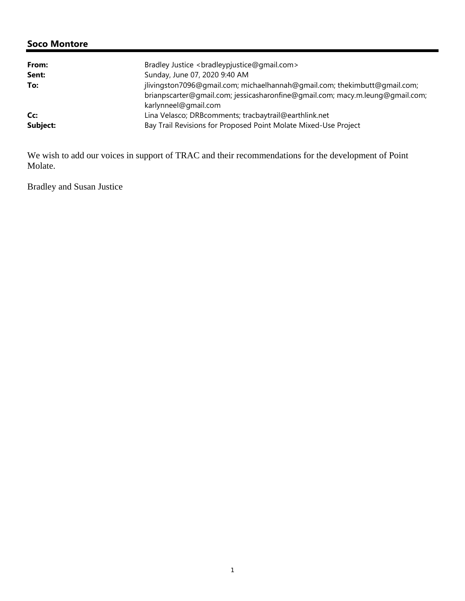"Open Space and Parks and Recreation to reflect the conceptual land uses in the adopted 1997 Point Molate Reuse Plan."

The Reuse Plan recommends a Shoreline Park on the headland designed to include the Bay Trail, a public promenade linkage with the Winehaven Historic District and public parking, all providing access to a public plaza, playing fields, play structure, interpretive facility and waterfront commercial area. This shoreline park is central to public enjoyment of the Bay Trail. These Point Molate headlands also are designated for Shoreline Park in BCDC's Bay Plan and the San Pablo Peninsula Open Space Feasibility Study prepared by the City of Richmond, California Coastal Conservancy, Chevron, EBRPD, Muir Heritage Land Trust and TRAC.

The Circulation diagram of the Preliminary Design Guidelines shows a portion of the proposed Loop Road adjacent to the Bay Trail along the shoreline. The Bay Trail experience at Point Molate would be substantially degraded by being next to a roadway, especially one which is likely to be very popular and heavily trafficked as the only place at Point Molate where it would be possible to drive along the shoreline. The beauty of the Bay Trail experience between Point Isabel and the ferry terminal on Richmond's southern shoreline is that there is no adjacent road with motor vehicle traffic. A motor vehicle road next to the Bay Trail would be a radical departure from the Reuse Plan, which follows the southern shoreline precedent of keeping roads away from a shoreline accessed by the Bay Trail distant from traffic. The City's General Plan states "improvements to public areas should be guided by the 1997 Point Molate Reuse Plan". Making space for a shoreline road also leaves inadequate space for the Bay Trail width recommended by the Bay Trail Design Guidelines and Toolkit.

Please recommend these design changes to ensure that the shoreline of Point Molate will be an attractive asset for Point Molate residents & visitors and fully accessible for active transportation and recreation.

Sincerely,

Austin McInerny, Advocacy Director Bicycle Trails Council of the East Bay austinm@sbcglobal.net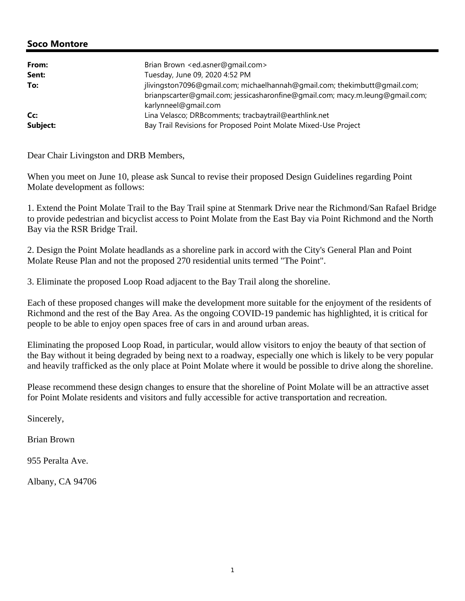| From:<br>Sent:  | Bradley Justice<br>com><br>Sunday, June 07, 2020 9:40 AM                                                                                                   |
|-----------------|------------------------------------------------------------------------------------------------------------------------------------------------------------|
| To:             | jlivingston7096@gmail.com; michaelhannah@gmail.com; thekimbutt@gmail.com;<br>brianpscarter@qmail.com; jessicasharonfine@qmail.com; macy.m.leung@qmail.com; |
| Cc:<br>Subject: | karlynneel@gmail.com<br>Lina Velasco; DRBcomments; tracbaytrail@earthlink.net<br>Bay Trail Revisions for Proposed Point Molate Mixed-Use Project           |

We wish to add our voices in support of TRAC and their recommendations for the development of Point Molate.

Bradley and Susan Justice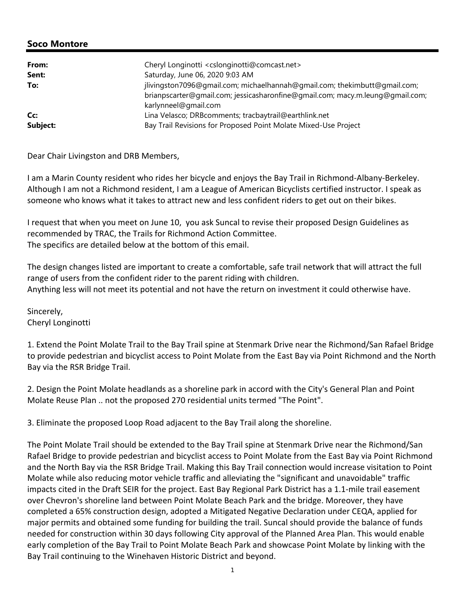| From:    | Brian Brown <ed.asner@gmail.com></ed.asner@gmail.com>                                                                                                                              |
|----------|------------------------------------------------------------------------------------------------------------------------------------------------------------------------------------|
| Sent:    | Tuesday, June 09, 2020 4:52 PM                                                                                                                                                     |
| To:      | jlivingston7096@gmail.com; michaelhannah@gmail.com; thekimbutt@gmail.com;<br>brianpscarter@qmail.com; jessicasharonfine@qmail.com; macy.m.leung@qmail.com;<br>karlynneel@gmail.com |
| Cc:      | Lina Velasco; DRBcomments; tracbaytrail@earthlink.net                                                                                                                              |
| Subject: | Bay Trail Revisions for Proposed Point Molate Mixed-Use Project                                                                                                                    |

Dear Chair Livingston and DRB Members,

When you meet on June 10, please ask Suncal to revise their proposed Design Guidelines regarding Point Molate development as follows:

1. Extend the Point Molate Trail to the Bay Trail spine at Stenmark Drive near the Richmond/San Rafael Bridge to provide pedestrian and bicyclist access to Point Molate from the East Bay via Point Richmond and the North Bay via the RSR Bridge Trail.

2. Design the Point Molate headlands as a shoreline park in accord with the City's General Plan and Point Molate Reuse Plan and not the proposed 270 residential units termed "The Point".

3. Eliminate the proposed Loop Road adjacent to the Bay Trail along the shoreline.

Each of these proposed changes will make the development more suitable for the enjoyment of the residents of Richmond and the rest of the Bay Area. As the ongoing COVID-19 pandemic has highlighted, it is critical for people to be able to enjoy open spaces free of cars in and around urban areas.

Eliminating the proposed Loop Road, in particular, would allow visitors to enjoy the beauty of that section of the Bay without it being degraded by being next to a roadway, especially one which is likely to be very popular and heavily trafficked as the only place at Point Molate where it would be possible to drive along the shoreline.

Please recommend these design changes to ensure that the shoreline of Point Molate will be an attractive asset for Point Molate residents and visitors and fully accessible for active transportation and recreation.

Sincerely,

Brian Brown

955 Peralta Ave.

Albany, CA 94706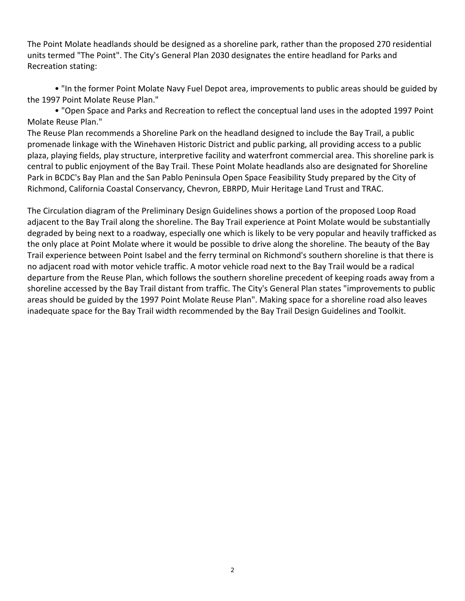| From:<br>Sent:  | Cheryl Longinotti <cslonginotti@comcast.net><br/>Saturday, June 06, 2020 9:03 AM</cslonginotti@comcast.net>                                                |
|-----------------|------------------------------------------------------------------------------------------------------------------------------------------------------------|
| To:             | jlivingston7096@gmail.com; michaelhannah@gmail.com; thekimbutt@gmail.com;<br>brianpscarter@qmail.com; jessicasharonfine@qmail.com; macy.m.leung@qmail.com; |
| Cc:<br>Subject: | karlynneel@gmail.com<br>Lina Velasco; DRBcomments; tracbaytrail@earthlink.net<br>Bay Trail Revisions for Proposed Point Molate Mixed-Use Project           |

Dear Chair Livingston and DRB Members,

I am a Marin County resident who rides her bicycle and enjoys the Bay Trail in Richmond‐Albany‐Berkeley. Although I am not a Richmond resident, I am a League of American Bicyclists certified instructor. I speak as someone who knows what it takes to attract new and less confident riders to get out on their bikes.

I request that when you meet on June 10, you ask Suncal to revise their proposed Design Guidelines as recommended by TRAC, the Trails for Richmond Action Committee. The specifics are detailed below at the bottom of this email.

The design changes listed are important to create a comfortable, safe trail network that will attract the full range of users from the confident rider to the parent riding with children. Anything less will not meet its potential and not have the return on investment it could otherwise have.

Sincerely, Cheryl Longinotti

1. Extend the Point Molate Trail to the Bay Trail spine at Stenmark Drive near the Richmond/San Rafael Bridge to provide pedestrian and bicyclist access to Point Molate from the East Bay via Point Richmond and the North Bay via the RSR Bridge Trail.

2. Design the Point Molate headlands as a shoreline park in accord with the City's General Plan and Point Molate Reuse Plan .. not the proposed 270 residential units termed "The Point".

3. Eliminate the proposed Loop Road adjacent to the Bay Trail along the shoreline.

The Point Molate Trail should be extended to the Bay Trail spine at Stenmark Drive near the Richmond/San Rafael Bridge to provide pedestrian and bicyclist access to Point Molate from the East Bay via Point Richmond and the North Bay via the RSR Bridge Trail. Making this Bay Trail connection would increase visitation to Point Molate while also reducing motor vehicle traffic and alleviating the "significant and unavoidable" traffic impacts cited in the Draft SEIR for the project. East Bay Regional Park District has a 1.1‐mile trail easement over Chevron's shoreline land between Point Molate Beach Park and the bridge. Moreover, they have completed a 65% construction design, adopted a Mitigated Negative Declaration under CEQA, applied for major permits and obtained some funding for building the trail. Suncal should provide the balance of funds needed for construction within 30 days following City approval of the Planned Area Plan. This would enable early completion of the Bay Trail to Point Molate Beach Park and showcase Point Molate by linking with the Bay Trail continuing to the Winehaven Historic District and beyond.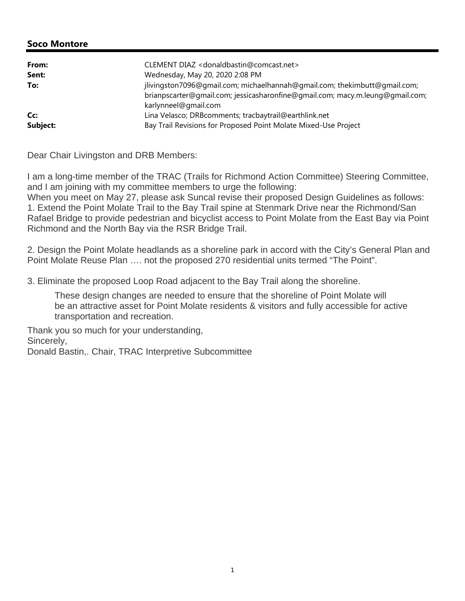The Point Molate headlands should be designed as a shoreline park, rather than the proposed 270 residential units termed "The Point". The City's General Plan 2030 designates the entire headland for Parks and Recreation stating:

• "In the former Point Molate Navy Fuel Depot area, improvements to public areas should be guided by the 1997 Point Molate Reuse Plan."

• "Open Space and Parks and Recreation to reflect the conceptual land uses in the adopted 1997 Point Molate Reuse Plan."

The Reuse Plan recommends a Shoreline Park on the headland designed to include the Bay Trail, a public promenade linkage with the Winehaven Historic District and public parking, all providing access to a public plaza, playing fields, play structure, interpretive facility and waterfront commercial area. This shoreline park is central to public enjoyment of the Bay Trail. These Point Molate headlands also are designated for Shoreline Park in BCDC's Bay Plan and the San Pablo Peninsula Open Space Feasibility Study prepared by the City of Richmond, California Coastal Conservancy, Chevron, EBRPD, Muir Heritage Land Trust and TRAC.

The Circulation diagram of the Preliminary Design Guidelines shows a portion of the proposed Loop Road adjacent to the Bay Trail along the shoreline. The Bay Trail experience at Point Molate would be substantially degraded by being next to a roadway, especially one which is likely to be very popular and heavily trafficked as the only place at Point Molate where it would be possible to drive along the shoreline. The beauty of the Bay Trail experience between Point Isabel and the ferry terminal on Richmond's southern shoreline is that there is no adjacent road with motor vehicle traffic. A motor vehicle road next to the Bay Trail would be a radical departure from the Reuse Plan, which follows the southern shoreline precedent of keeping roads away from a shoreline accessed by the Bay Trail distant from traffic. The City's General Plan states "improvements to public areas should be guided by the 1997 Point Molate Reuse Plan". Making space for a shoreline road also leaves inadequate space for the Bay Trail width recommended by the Bay Trail Design Guidelines and Toolkit.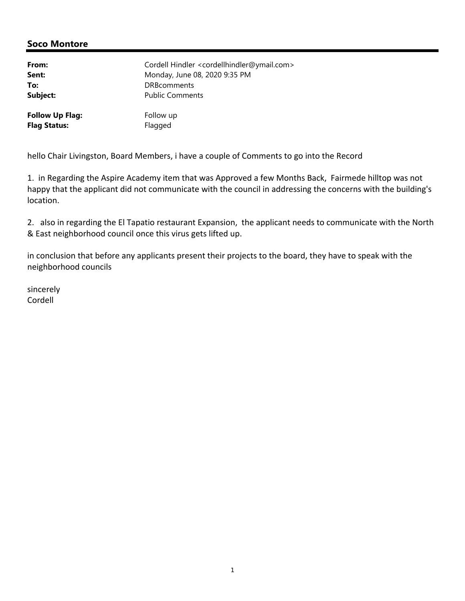| From:<br>Sent:<br>To: | CLEMENT DIAZ <donaldbastin@comcast.net><br/>Wednesday, May 20, 2020 2:08 PM<br/>jlivingston7096@gmail.com; michaelhannah@gmail.com; thekimbutt@gmail.com;<br/>brianpscarter@qmail.com; jessicasharonfine@qmail.com; macy.m.leung@qmail.com;<br/>karlynneel@gmail.com</donaldbastin@comcast.net> |
|-----------------------|-------------------------------------------------------------------------------------------------------------------------------------------------------------------------------------------------------------------------------------------------------------------------------------------------|
| Cc:                   | Lina Velasco; DRBcomments; tracbaytrail@earthlink.net                                                                                                                                                                                                                                           |
| Subject:              | Bay Trail Revisions for Proposed Point Molate Mixed-Use Project                                                                                                                                                                                                                                 |

Dear Chair Livingston and DRB Members:

I am a long-time member of the TRAC (Trails for Richmond Action Committee) Steering Committee, and I am joining with my committee members to urge the following: When you meet on May 27, please ask Suncal revise their proposed Design Guidelines as follows: 1. Extend the Point Molate Trail to the Bay Trail spine at Stenmark Drive near the Richmond/San Rafael Bridge to provide pedestrian and bicyclist access to Point Molate from the East Bay via Point Richmond and the North Bay via the RSR Bridge Trail.

2. Design the Point Molate headlands as a shoreline park in accord with the City's General Plan and Point Molate Reuse Plan …. not the proposed 270 residential units termed "The Point".

3. Eliminate the proposed Loop Road adjacent to the Bay Trail along the shoreline.

These design changes are needed to ensure that the shoreline of Point Molate will be an attractive asset for Point Molate residents & visitors and fully accessible for active transportation and recreation.

Thank you so much for your understanding, Sincerely, Donald Bastin,. Chair, TRAC Interpretive Subcommittee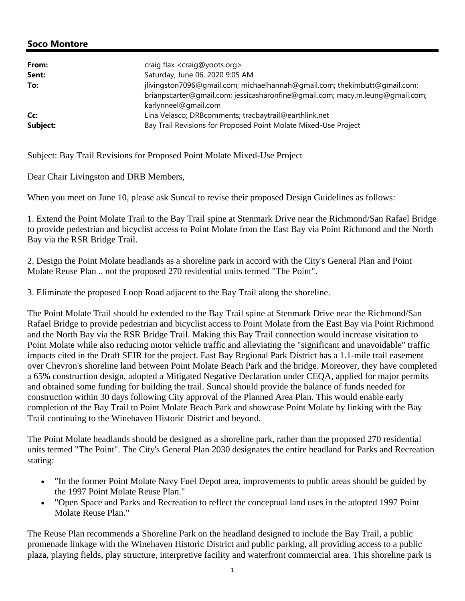| From:    | craig flax <craig@yoots.org></craig@yoots.org>                                                                                                                                     |
|----------|------------------------------------------------------------------------------------------------------------------------------------------------------------------------------------|
| Sent:    | Saturday, June 06, 2020 9:05 AM                                                                                                                                                    |
| To:      | jlivingston7096@gmail.com; michaelhannah@gmail.com; thekimbutt@gmail.com;<br>brianpscarter@gmail.com; jessicasharonfine@gmail.com; macy.m.leung@gmail.com;<br>karlynneel@gmail.com |
| Cc:      | Lina Velasco; DRBcomments; tracbaytrail@earthlink.net                                                                                                                              |
| Subject: | Bay Trail Revisions for Proposed Point Molate Mixed-Use Project                                                                                                                    |

Subject: Bay Trail Revisions for Proposed Point Molate Mixed-Use Project

Dear Chair Livingston and DRB Members,

When you meet on June 10, please ask Suncal to revise their proposed Design Guidelines as follows:

1. Extend the Point Molate Trail to the Bay Trail spine at Stenmark Drive near the Richmond/San Rafael Bridge to provide pedestrian and bicyclist access to Point Molate from the East Bay via Point Richmond and the North Bay via the RSR Bridge Trail.

2. Design the Point Molate headlands as a shoreline park in accord with the City's General Plan and Point Molate Reuse Plan .. not the proposed 270 residential units termed "The Point".

3. Eliminate the proposed Loop Road adjacent to the Bay Trail along the shoreline.

The Point Molate Trail should be extended to the Bay Trail spine at Stenmark Drive near the Richmond/San Rafael Bridge to provide pedestrian and bicyclist access to Point Molate from the East Bay via Point Richmond and the North Bay via the RSR Bridge Trail. Making this Bay Trail connection would increase visitation to Point Molate while also reducing motor vehicle traffic and alleviating the "significant and unavoidable" traffic impacts cited in the Draft SEIR for the project. East Bay Regional Park District has a 1.1-mile trail easement over Chevron's shoreline land between Point Molate Beach Park and the bridge. Moreover, they have completed a 65% construction design, adopted a Mitigated Negative Declaration under CEQA, applied for major permits and obtained some funding for building the trail. Suncal should provide the balance of funds needed for construction within 30 days following City approval of the Planned Area Plan. This would enable early completion of the Bay Trail to Point Molate Beach Park and showcase Point Molate by linking with the Bay Trail continuing to the Winehaven Historic District and beyond.

The Point Molate headlands should be designed as a shoreline park, rather than the proposed 270 residential units termed "The Point". The City's General Plan 2030 designates the entire headland for Parks and Recreation stating:

- "In the former Point Molate Navy Fuel Depot area, improvements to public areas should be guided by the 1997 Point Molate Reuse Plan."
- "Open Space and Parks and Recreation to reflect the conceptual land uses in the adopted 1997 Point Molate Reuse Plan."

The Reuse Plan recommends a Shoreline Park on the headland designed to include the Bay Trail, a public promenade linkage with the Winehaven Historic District and public parking, all providing access to a public plaza, playing fields, play structure, interpretive facility and waterfront commercial area. This shoreline park is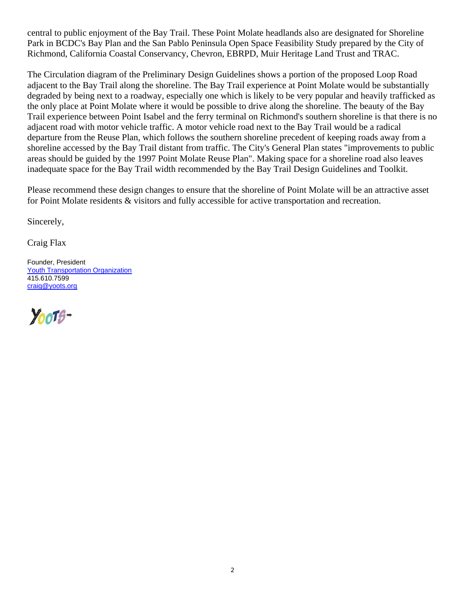central to public enjoyment of the Bay Trail. These Point Molate headlands also are designated for Shoreline Park in BCDC's Bay Plan and the San Pablo Peninsula Open Space Feasibility Study prepared by the City of Richmond, California Coastal Conservancy, Chevron, EBRPD, Muir Heritage Land Trust and TRAC.

The Circulation diagram of the Preliminary Design Guidelines shows a portion of the proposed Loop Road adjacent to the Bay Trail along the shoreline. The Bay Trail experience at Point Molate would be substantially degraded by being next to a roadway, especially one which is likely to be very popular and heavily trafficked as the only place at Point Molate where it would be possible to drive along the shoreline. The beauty of the Bay Trail experience between Point Isabel and the ferry terminal on Richmond's southern shoreline is that there is no adjacent road with motor vehicle traffic. A motor vehicle road next to the Bay Trail would be a radical departure from the Reuse Plan, which follows the southern shoreline precedent of keeping roads away from a shoreline accessed by the Bay Trail distant from traffic. The City's General Plan states "improvements to public areas should be guided by the 1997 Point Molate Reuse Plan". Making space for a shoreline road also leaves inadequate space for the Bay Trail width recommended by the Bay Trail Design Guidelines and Toolkit.

Please recommend these design changes to ensure that the shoreline of Point Molate will be an attractive asset for Point Molate residents & visitors and fully accessible for active transportation and recreation.

Sincerely,

Craig Flax

Founder, President Youth Transportation Organization 415.610.7599 craig@yoots.org

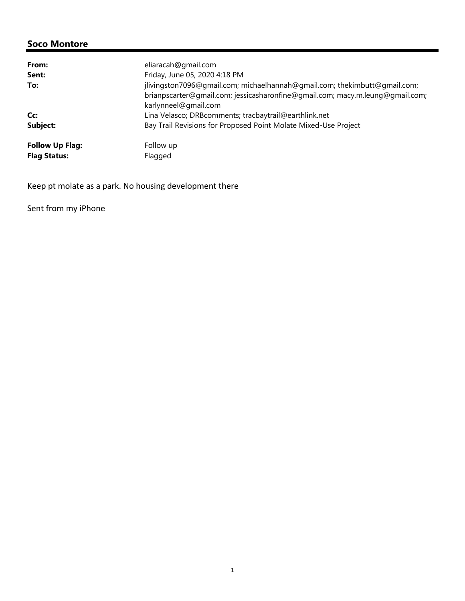| From:                  | eliaracah@gmail.com                                                                                                                                                                |
|------------------------|------------------------------------------------------------------------------------------------------------------------------------------------------------------------------------|
| Sent:                  | Friday, June 05, 2020 4:18 PM                                                                                                                                                      |
| To:                    | jlivingston7096@gmail.com; michaelhannah@gmail.com; thekimbutt@gmail.com;<br>brianpscarter@gmail.com; jessicasharonfine@gmail.com; macy.m.leung@gmail.com;<br>karlynneel@gmail.com |
| Cc:                    | Lina Velasco; DRBcomments; tracbaytrail@earthlink.net                                                                                                                              |
| Subject:               | Bay Trail Revisions for Proposed Point Molate Mixed-Use Project                                                                                                                    |
| <b>Follow Up Flag:</b> | Follow up                                                                                                                                                                          |
| <b>Flag Status:</b>    | Flagged                                                                                                                                                                            |

Keep pt molate as a park. No housing development there

Sent from my iPhone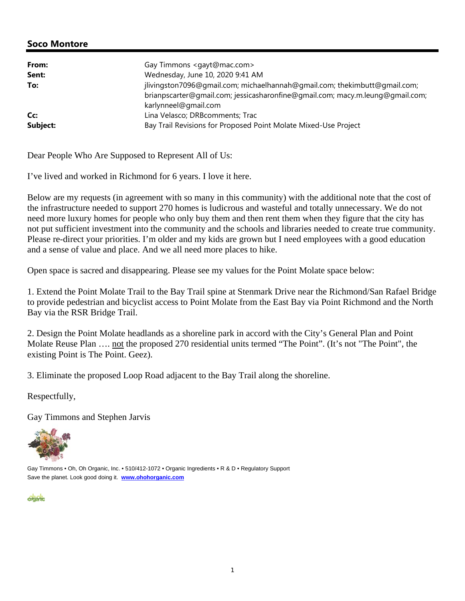| From:    | Gay Timmons <gayt@mac.com></gayt@mac.com>                                                                                                                                          |
|----------|------------------------------------------------------------------------------------------------------------------------------------------------------------------------------------|
| Sent:    | Wednesday, June 10, 2020 9:41 AM                                                                                                                                                   |
| To:      | jlivingston7096@gmail.com; michaelhannah@gmail.com; thekimbutt@gmail.com;<br>brianpscarter@gmail.com; jessicasharonfine@gmail.com; macy.m.leung@gmail.com;<br>karlynneel@gmail.com |
| Cc:      | Lina Velasco; DRBcomments; Trac                                                                                                                                                    |
| Subject: | Bay Trail Revisions for Proposed Point Molate Mixed-Use Project                                                                                                                    |

Dear People Who Are Supposed to Represent All of Us:

I've lived and worked in Richmond for 6 years. I love it here.

Below are my requests (in agreement with so many in this community) with the additional note that the cost of the infrastructure needed to support 270 homes is ludicrous and wasteful and totally unnecessary. We do not need more luxury homes for people who only buy them and then rent them when they figure that the city has not put sufficient investment into the community and the schools and libraries needed to create true community. Please re-direct your priorities. I'm older and my kids are grown but I need employees with a good education and a sense of value and place. And we all need more places to hike.

Open space is sacred and disappearing. Please see my values for the Point Molate space below:

1. Extend the Point Molate Trail to the Bay Trail spine at Stenmark Drive near the Richmond/San Rafael Bridge to provide pedestrian and bicyclist access to Point Molate from the East Bay via Point Richmond and the North Bay via the RSR Bridge Trail.

2. Design the Point Molate headlands as a shoreline park in accord with the City's General Plan and Point Molate Reuse Plan …. not the proposed 270 residential units termed "The Point". (It's not "The Point", the existing Point is The Point. Geez).

3. Eliminate the proposed Loop Road adjacent to the Bay Trail along the shoreline.

Respectfully,

Gay Timmons and Stephen Jarvis



Gay Timmons • Oh, Oh Organic, Inc. • 510/412-1072 • Organic Ingredients • R & D • Regulatory Support Save the planet. Look good doing it. **www.ohohorganic.com**

**dictants**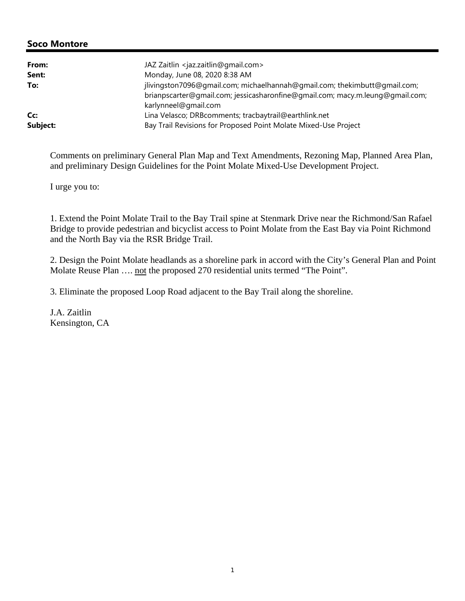| From:    | JAZ Zaitlin <jaz.zaitlin@gmail.com></jaz.zaitlin@gmail.com>                                                                                                                        |
|----------|------------------------------------------------------------------------------------------------------------------------------------------------------------------------------------|
| Sent:    | Monday, June 08, 2020 8:38 AM                                                                                                                                                      |
| To:      | jlivingston7096@gmail.com; michaelhannah@gmail.com; thekimbutt@gmail.com;<br>brianpscarter@qmail.com; jessicasharonfine@qmail.com; macy.m.leung@qmail.com;<br>karlynneel@gmail.com |
| Cc:      | Lina Velasco; DRBcomments; tracbaytrail@earthlink.net                                                                                                                              |
| Subject: | Bay Trail Revisions for Proposed Point Molate Mixed-Use Project                                                                                                                    |

Comments on preliminary General Plan Map and Text Amendments, Rezoning Map, Planned Area Plan, and preliminary Design Guidelines for the Point Molate Mixed-Use Development Project.

I urge you to:

1. Extend the Point Molate Trail to the Bay Trail spine at Stenmark Drive near the Richmond/San Rafael Bridge to provide pedestrian and bicyclist access to Point Molate from the East Bay via Point Richmond and the North Bay via the RSR Bridge Trail.

2. Design the Point Molate headlands as a shoreline park in accord with the City's General Plan and Point Molate Reuse Plan .... not the proposed 270 residential units termed "The Point".

3. Eliminate the proposed Loop Road adjacent to the Bay Trail along the shoreline.

J.A. Zaitlin Kensington, CA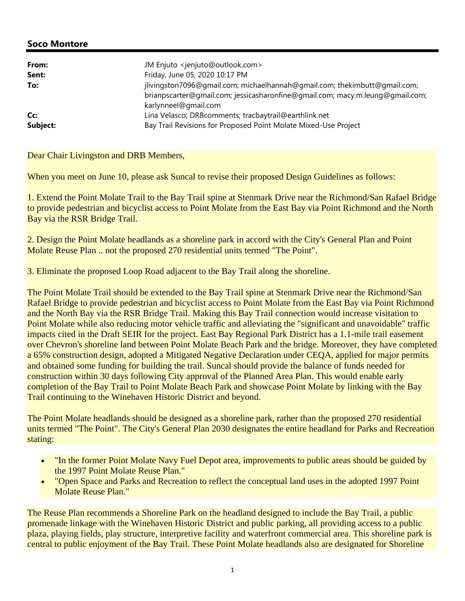| From:<br>Sent:  | JM Enjuto <jenjuto@outlook.com><br/>Friday, June 05, 2020 10:17 PM</jenjuto@outlook.com>                                                                   |
|-----------------|------------------------------------------------------------------------------------------------------------------------------------------------------------|
| To:             | jlivingston7096@gmail.com; michaelhannah@gmail.com; thekimbutt@gmail.com;<br>brianpscarter@gmail.com; jessicasharonfine@gmail.com; macy.m.leung@gmail.com; |
| Cc:<br>Subject: | karlynneel@gmail.com<br>Lina Velasco; DRBcomments; tracbaytrail@earthlink.net<br>Bay Trail Revisions for Proposed Point Molate Mixed-Use Project           |

Dear Chair Livingston and DRB Members,

When you meet on June 10, please ask Suncal to revise their proposed Design Guidelines as follows:

1. Extend the Point Molate Trail to the Bay Trail spine at Stenmark Drive near the Richmond/San Rafael Bridge to provide pedestrian and bicyclist access to Point Molate from the East Bay via Point Richmond and the North Bay via the RSR Bridge Trail.

2. Design the Point Molate headlands as a shoreline park in accord with the City's General Plan and Point Molate Reuse Plan .. not the proposed 270 residential units termed "The Point".

3. Eliminate the proposed Loop Road adjacent to the Bay Trail along the shoreline.

The Point Molate Trail should be extended to the Bay Trail spine at Stenmark Drive near the Richmond/San Rafael Bridge to provide pedestrian and bicyclist access to Point Molate from the East Bay via Point Richmond and the North Bay via the RSR Bridge Trail. Making this Bay Trail connection would increase visitation to Point Molate while also reducing motor vehicle traffic and alleviating the "significant and unavoidable" traffic impacts cited in the Draft SEIR for the project. East Bay Regional Park District has a 1.1-mile trail easement over Chevron's shoreline land between Point Molate Beach Park and the bridge. Moreover, they have completed a 65% construction design, adopted a Mitigated Negative Declaration under CEQA, applied for major permits and obtained some funding for building the trail. Suncal should provide the balance of funds needed for construction within 30 days following City approval of the Planned Area Plan. This would enable early completion of the Bay Trail to Point Molate Beach Park and showcase Point Molate by linking with the Bay Trail continuing to the Winehaven Historic District and beyond.

The Point Molate headlands should be designed as a shoreline park, rather than the proposed 270 residential units termed "The Point". The City's General Plan 2030 designates the entire headland for Parks and Recreation stating:

- "In the former Point Molate Navy Fuel Depot area, improvements to public areas should be guided by the 1997 Point Molate Reuse Plan."
- "Open Space and Parks and Recreation to reflect the conceptual land uses in the adopted 1997 Point Molate Reuse Plan."

The Reuse Plan recommends a Shoreline Park on the headland designed to include the Bay Trail, a public promenade linkage with the Winehaven Historic District and public parking, all providing access to a public plaza, playing fields, play structure, interpretive facility and waterfront commercial area. This shoreline park is central to public enjoyment of the Bay Trail. These Point Molate headlands also are designated for Shoreline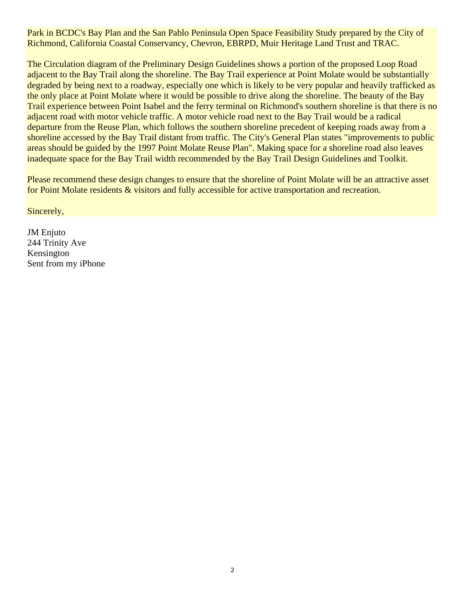Park in BCDC's Bay Plan and the San Pablo Peninsula Open Space Feasibility Study prepared by the City of Richmond, California Coastal Conservancy, Chevron, EBRPD, Muir Heritage Land Trust and TRAC.

The Circulation diagram of the Preliminary Design Guidelines shows a portion of the proposed Loop Road adjacent to the Bay Trail along the shoreline. The Bay Trail experience at Point Molate would be substantially degraded by being next to a roadway, especially one which is likely to be very popular and heavily trafficked as the only place at Point Molate where it would be possible to drive along the shoreline. The beauty of the Bay Trail experience between Point Isabel and the ferry terminal on Richmond's southern shoreline is that there is no adjacent road with motor vehicle traffic. A motor vehicle road next to the Bay Trail would be a radical departure from the Reuse Plan, which follows the southern shoreline precedent of keeping roads away from a shoreline accessed by the Bay Trail distant from traffic. The City's General Plan states "improvements to public areas should be guided by the 1997 Point Molate Reuse Plan". Making space for a shoreline road also leaves inadequate space for the Bay Trail width recommended by the Bay Trail Design Guidelines and Toolkit.

Please recommend these design changes to ensure that the shoreline of Point Molate will be an attractive asset for Point Molate residents & visitors and fully accessible for active transportation and recreation.

Sincerely,

JM Enjuto 244 Trinity Ave Kensington Sent from my iPhone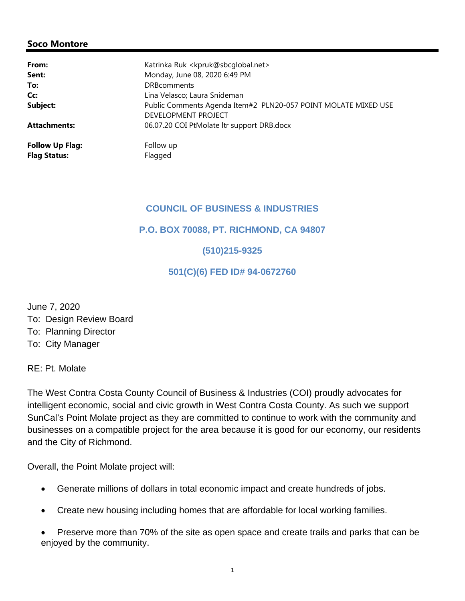| From:                  | Katrinka Ruk <kpruk@sbcqlobal.net></kpruk@sbcqlobal.net>       |
|------------------------|----------------------------------------------------------------|
| Sent:                  | Monday, June 08, 2020 6:49 PM                                  |
| To:                    | <b>DRB</b> comments                                            |
| Cc:                    | Lina Velasco; Laura Snideman                                   |
| Subject:               | Public Comments Agenda Item#2 PLN20-057 POINT MOLATE MIXED USE |
|                        | DEVELOPMENT PROJECT                                            |
| <b>Attachments:</b>    | 06.07.20 COI PtMolate ltr support DRB.docx                     |
| <b>Follow Up Flag:</b> | Follow up                                                      |
| <b>Flag Status:</b>    | Flagged                                                        |

### **COUNCIL OF BUSINESS & INDUSTRIES**

**P.O. BOX 70088, PT. RICHMOND, CA 94807**

## **(510)215-9325**

### **501(C)(6) FED ID# 94-0672760**

June 7, 2020 To: Design Review Board To: Planning Director To: City Manager

RE: Pt. Molate

The West Contra Costa County Council of Business & Industries (COI) proudly advocates for intelligent economic, social and civic growth in West Contra Costa County. As such we support SunCal's Point Molate project as they are committed to continue to work with the community and businesses on a compatible project for the area because it is good for our economy, our residents and the City of Richmond.

Overall, the Point Molate project will:

- Generate millions of dollars in total economic impact and create hundreds of jobs.
- Create new housing including homes that are affordable for local working families.
- Preserve more than 70% of the site as open space and create trails and parks that can be enjoyed by the community.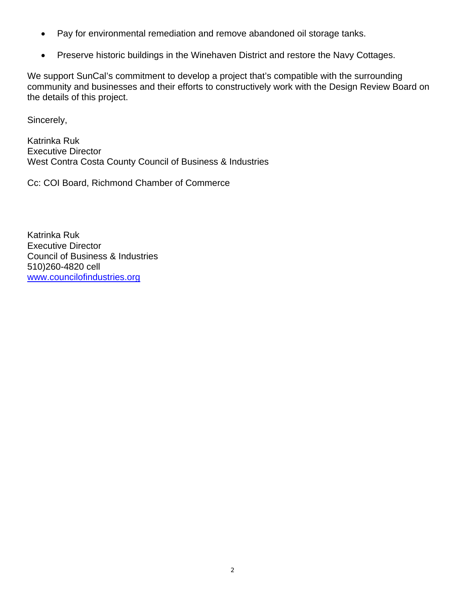- Pay for environmental remediation and remove abandoned oil storage tanks.
- Preserve historic buildings in the Winehaven District and restore the Navy Cottages.

We support SunCal's commitment to develop a project that's compatible with the surrounding community and businesses and their efforts to constructively work with the Design Review Board on the details of this project.

Sincerely,

Katrinka Ruk Executive Director West Contra Costa County Council of Business & Industries

Cc: COI Board, Richmond Chamber of Commerce

Katrinka Ruk Executive Director Council of Business & Industries 510)260-4820 cell www.councilofindustries.org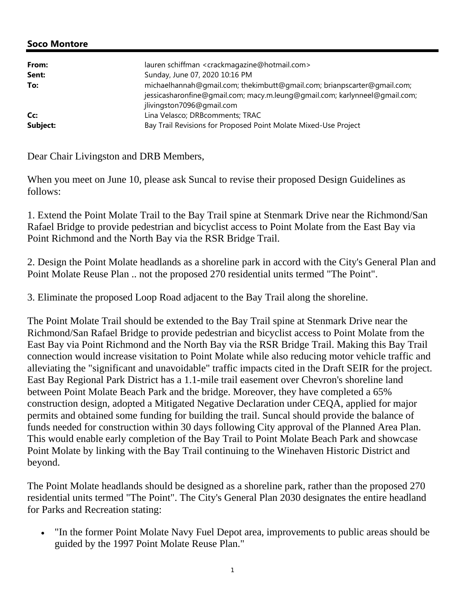| From:<br>Sent: | lauren schiffman <crackmagazine@hotmail.com><br/>Sunday, June 07, 2020 10:16 PM</crackmagazine@hotmail.com>                                           |
|----------------|-------------------------------------------------------------------------------------------------------------------------------------------------------|
| To:            | michaelhannah@qmail.com; thekimbutt@qmail.com; brianpscarter@qmail.com;<br>jessicasharonfine@gmail.com; macy.m.leung@gmail.com; karlynneel@gmail.com; |
|                | jlivingston7096@gmail.com                                                                                                                             |
| Cc:            | Lina Velasco; DRBcomments; TRAC                                                                                                                       |
| Subject:       | Bay Trail Revisions for Proposed Point Molate Mixed-Use Project                                                                                       |

Dear Chair Livingston and DRB Members,

When you meet on June 10, please ask Suncal to revise their proposed Design Guidelines as follows:

1. Extend the Point Molate Trail to the Bay Trail spine at Stenmark Drive near the Richmond/San Rafael Bridge to provide pedestrian and bicyclist access to Point Molate from the East Bay via Point Richmond and the North Bay via the RSR Bridge Trail.

2. Design the Point Molate headlands as a shoreline park in accord with the City's General Plan and Point Molate Reuse Plan .. not the proposed 270 residential units termed "The Point".

3. Eliminate the proposed Loop Road adjacent to the Bay Trail along the shoreline.

The Point Molate Trail should be extended to the Bay Trail spine at Stenmark Drive near the Richmond/San Rafael Bridge to provide pedestrian and bicyclist access to Point Molate from the East Bay via Point Richmond and the North Bay via the RSR Bridge Trail. Making this Bay Trail connection would increase visitation to Point Molate while also reducing motor vehicle traffic and alleviating the "significant and unavoidable" traffic impacts cited in the Draft SEIR for the project. East Bay Regional Park District has a 1.1-mile trail easement over Chevron's shoreline land between Point Molate Beach Park and the bridge. Moreover, they have completed a 65% construction design, adopted a Mitigated Negative Declaration under CEQA, applied for major permits and obtained some funding for building the trail. Suncal should provide the balance of funds needed for construction within 30 days following City approval of the Planned Area Plan. This would enable early completion of the Bay Trail to Point Molate Beach Park and showcase Point Molate by linking with the Bay Trail continuing to the Winehaven Historic District and beyond.

The Point Molate headlands should be designed as a shoreline park, rather than the proposed 270 residential units termed "The Point". The City's General Plan 2030 designates the entire headland for Parks and Recreation stating:

• "In the former Point Molate Navy Fuel Depot area, improvements to public areas should be guided by the 1997 Point Molate Reuse Plan."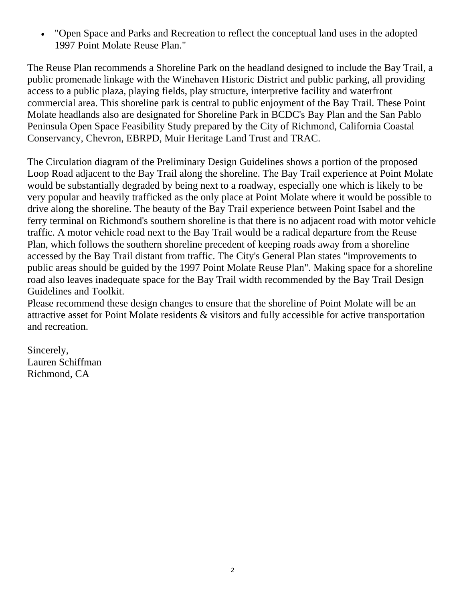"Open Space and Parks and Recreation to reflect the conceptual land uses in the adopted 1997 Point Molate Reuse Plan."

The Reuse Plan recommends a Shoreline Park on the headland designed to include the Bay Trail, a public promenade linkage with the Winehaven Historic District and public parking, all providing access to a public plaza, playing fields, play structure, interpretive facility and waterfront commercial area. This shoreline park is central to public enjoyment of the Bay Trail. These Point Molate headlands also are designated for Shoreline Park in BCDC's Bay Plan and the San Pablo Peninsula Open Space Feasibility Study prepared by the City of Richmond, California Coastal Conservancy, Chevron, EBRPD, Muir Heritage Land Trust and TRAC.

The Circulation diagram of the Preliminary Design Guidelines shows a portion of the proposed Loop Road adjacent to the Bay Trail along the shoreline. The Bay Trail experience at Point Molate would be substantially degraded by being next to a roadway, especially one which is likely to be very popular and heavily trafficked as the only place at Point Molate where it would be possible to drive along the shoreline. The beauty of the Bay Trail experience between Point Isabel and the ferry terminal on Richmond's southern shoreline is that there is no adjacent road with motor vehicle traffic. A motor vehicle road next to the Bay Trail would be a radical departure from the Reuse Plan, which follows the southern shoreline precedent of keeping roads away from a shoreline accessed by the Bay Trail distant from traffic. The City's General Plan states "improvements to public areas should be guided by the 1997 Point Molate Reuse Plan". Making space for a shoreline road also leaves inadequate space for the Bay Trail width recommended by the Bay Trail Design Guidelines and Toolkit.

Please recommend these design changes to ensure that the shoreline of Point Molate will be an attractive asset for Point Molate residents & visitors and fully accessible for active transportation and recreation.

Sincerely, Lauren Schiffman Richmond, CA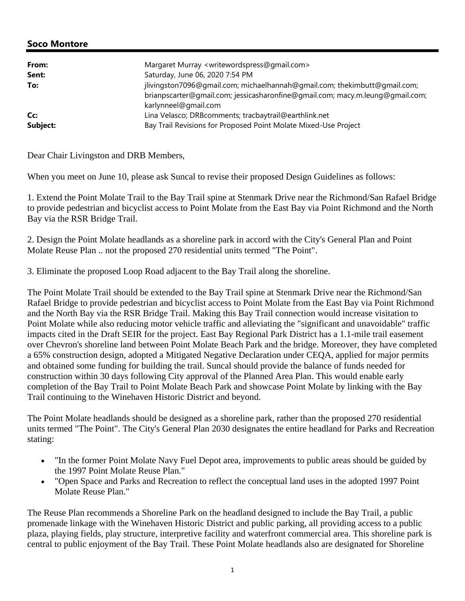| From:    | Margaret Murray <writewordspress@gmail.com></writewordspress@gmail.com>                                                                                                            |
|----------|------------------------------------------------------------------------------------------------------------------------------------------------------------------------------------|
| Sent:    | Saturday, June 06, 2020 7:54 PM                                                                                                                                                    |
| To:      | jlivingston7096@gmail.com; michaelhannah@gmail.com; thekimbutt@gmail.com;<br>brianpscarter@gmail.com; jessicasharonfine@gmail.com; macy.m.leung@gmail.com;<br>karlynneel@gmail.com |
| Cc:      | Lina Velasco; DRBcomments; tracbaytrail@earthlink.net                                                                                                                              |
| Subject: | Bay Trail Revisions for Proposed Point Molate Mixed-Use Project                                                                                                                    |

Dear Chair Livingston and DRB Members,

When you meet on June 10, please ask Suncal to revise their proposed Design Guidelines as follows:

1. Extend the Point Molate Trail to the Bay Trail spine at Stenmark Drive near the Richmond/San Rafael Bridge to provide pedestrian and bicyclist access to Point Molate from the East Bay via Point Richmond and the North Bay via the RSR Bridge Trail.

2. Design the Point Molate headlands as a shoreline park in accord with the City's General Plan and Point Molate Reuse Plan .. not the proposed 270 residential units termed "The Point".

3. Eliminate the proposed Loop Road adjacent to the Bay Trail along the shoreline.

The Point Molate Trail should be extended to the Bay Trail spine at Stenmark Drive near the Richmond/San Rafael Bridge to provide pedestrian and bicyclist access to Point Molate from the East Bay via Point Richmond and the North Bay via the RSR Bridge Trail. Making this Bay Trail connection would increase visitation to Point Molate while also reducing motor vehicle traffic and alleviating the "significant and unavoidable" traffic impacts cited in the Draft SEIR for the project. East Bay Regional Park District has a 1.1-mile trail easement over Chevron's shoreline land between Point Molate Beach Park and the bridge. Moreover, they have completed a 65% construction design, adopted a Mitigated Negative Declaration under CEQA, applied for major permits and obtained some funding for building the trail. Suncal should provide the balance of funds needed for construction within 30 days following City approval of the Planned Area Plan. This would enable early completion of the Bay Trail to Point Molate Beach Park and showcase Point Molate by linking with the Bay Trail continuing to the Winehaven Historic District and beyond.

The Point Molate headlands should be designed as a shoreline park, rather than the proposed 270 residential units termed "The Point". The City's General Plan 2030 designates the entire headland for Parks and Recreation stating:

- "In the former Point Molate Navy Fuel Depot area, improvements to public areas should be guided by the 1997 Point Molate Reuse Plan."
- "Open Space and Parks and Recreation to reflect the conceptual land uses in the adopted 1997 Point Molate Reuse Plan."

The Reuse Plan recommends a Shoreline Park on the headland designed to include the Bay Trail, a public promenade linkage with the Winehaven Historic District and public parking, all providing access to a public plaza, playing fields, play structure, interpretive facility and waterfront commercial area. This shoreline park is central to public enjoyment of the Bay Trail. These Point Molate headlands also are designated for Shoreline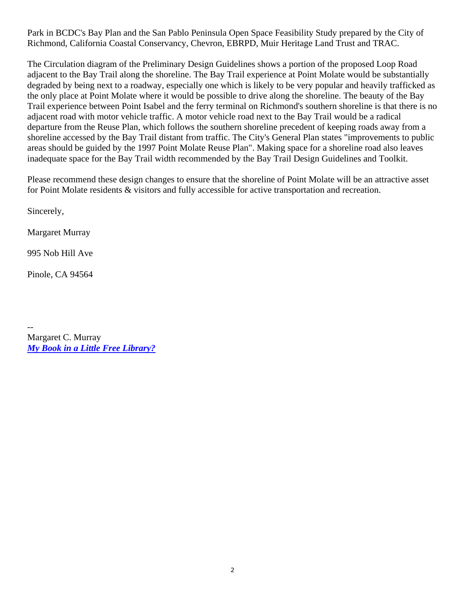Park in BCDC's Bay Plan and the San Pablo Peninsula Open Space Feasibility Study prepared by the City of Richmond, California Coastal Conservancy, Chevron, EBRPD, Muir Heritage Land Trust and TRAC.

The Circulation diagram of the Preliminary Design Guidelines shows a portion of the proposed Loop Road adjacent to the Bay Trail along the shoreline. The Bay Trail experience at Point Molate would be substantially degraded by being next to a roadway, especially one which is likely to be very popular and heavily trafficked as the only place at Point Molate where it would be possible to drive along the shoreline. The beauty of the Bay Trail experience between Point Isabel and the ferry terminal on Richmond's southern shoreline is that there is no adjacent road with motor vehicle traffic. A motor vehicle road next to the Bay Trail would be a radical departure from the Reuse Plan, which follows the southern shoreline precedent of keeping roads away from a shoreline accessed by the Bay Trail distant from traffic. The City's General Plan states "improvements to public areas should be guided by the 1997 Point Molate Reuse Plan". Making space for a shoreline road also leaves inadequate space for the Bay Trail width recommended by the Bay Trail Design Guidelines and Toolkit.

Please recommend these design changes to ensure that the shoreline of Point Molate will be an attractive asset for Point Molate residents & visitors and fully accessible for active transportation and recreation.

Sincerely,

Margaret Murray

995 Nob Hill Ave

Pinole, CA 94564

-- Margaret C. Murray *My Book in a Little Free Library?*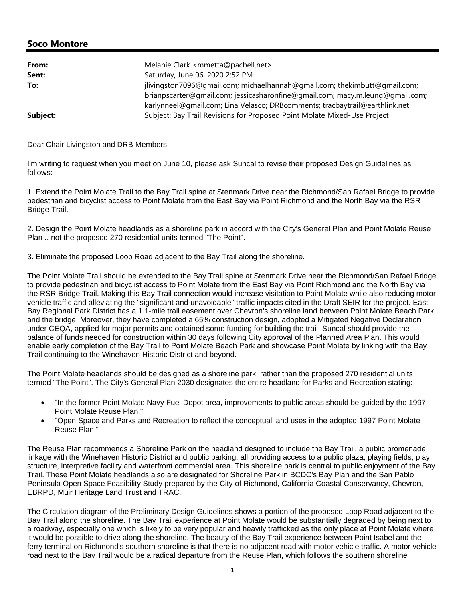| From:    | Melanie Clark <mmetta@pacbell.net></mmetta@pacbell.net>                       |
|----------|-------------------------------------------------------------------------------|
| Sent:    | Saturday, June 06, 2020 2:52 PM                                               |
| To:      | jlivingston7096@gmail.com; michaelhannah@gmail.com; thekimbutt@gmail.com;     |
|          | brianpscarter@qmail.com; jessicasharonfine@qmail.com; macy.m.leung@qmail.com; |
|          | karlynneel@gmail.com; Lina Velasco; DRBcomments; tracbaytrail@earthlink.net   |
| Subject: | Subject: Bay Trail Revisions for Proposed Point Molate Mixed-Use Project      |

Dear Chair Livingston and DRB Members,

I'm writing to request when you meet on June 10, please ask Suncal to revise their proposed Design Guidelines as follows:

1. Extend the Point Molate Trail to the Bay Trail spine at Stenmark Drive near the Richmond/San Rafael Bridge to provide pedestrian and bicyclist access to Point Molate from the East Bay via Point Richmond and the North Bay via the RSR Bridge Trail.

2. Design the Point Molate headlands as a shoreline park in accord with the City's General Plan and Point Molate Reuse Plan .. not the proposed 270 residential units termed "The Point".

3. Eliminate the proposed Loop Road adjacent to the Bay Trail along the shoreline.

The Point Molate Trail should be extended to the Bay Trail spine at Stenmark Drive near the Richmond/San Rafael Bridge to provide pedestrian and bicyclist access to Point Molate from the East Bay via Point Richmond and the North Bay via the RSR Bridge Trail. Making this Bay Trail connection would increase visitation to Point Molate while also reducing motor vehicle traffic and alleviating the "significant and unavoidable" traffic impacts cited in the Draft SEIR for the project. East Bay Regional Park District has a 1.1-mile trail easement over Chevron's shoreline land between Point Molate Beach Park and the bridge. Moreover, they have completed a 65% construction design, adopted a Mitigated Negative Declaration under CEQA, applied for major permits and obtained some funding for building the trail. Suncal should provide the balance of funds needed for construction within 30 days following City approval of the Planned Area Plan. This would enable early completion of the Bay Trail to Point Molate Beach Park and showcase Point Molate by linking with the Bay Trail continuing to the Winehaven Historic District and beyond.

The Point Molate headlands should be designed as a shoreline park, rather than the proposed 270 residential units termed "The Point". The City's General Plan 2030 designates the entire headland for Parks and Recreation stating:

- "In the former Point Molate Navy Fuel Depot area, improvements to public areas should be guided by the 1997 Point Molate Reuse Plan."
- "Open Space and Parks and Recreation to reflect the conceptual land uses in the adopted 1997 Point Molate Reuse Plan."

The Reuse Plan recommends a Shoreline Park on the headland designed to include the Bay Trail, a public promenade linkage with the Winehaven Historic District and public parking, all providing access to a public plaza, playing fields, play structure, interpretive facility and waterfront commercial area. This shoreline park is central to public enjoyment of the Bay Trail. These Point Molate headlands also are designated for Shoreline Park in BCDC's Bay Plan and the San Pablo Peninsula Open Space Feasibility Study prepared by the City of Richmond, California Coastal Conservancy, Chevron, EBRPD, Muir Heritage Land Trust and TRAC.

The Circulation diagram of the Preliminary Design Guidelines shows a portion of the proposed Loop Road adjacent to the Bay Trail along the shoreline. The Bay Trail experience at Point Molate would be substantially degraded by being next to a roadway, especially one which is likely to be very popular and heavily trafficked as the only place at Point Molate where it would be possible to drive along the shoreline. The beauty of the Bay Trail experience between Point Isabel and the ferry terminal on Richmond's southern shoreline is that there is no adjacent road with motor vehicle traffic. A motor vehicle road next to the Bay Trail would be a radical departure from the Reuse Plan, which follows the southern shoreline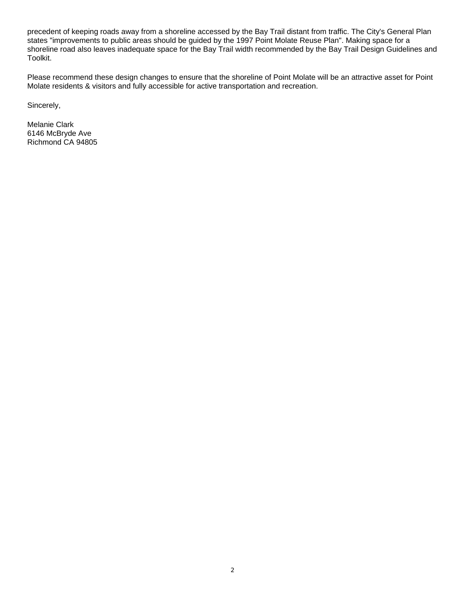precedent of keeping roads away from a shoreline accessed by the Bay Trail distant from traffic. The City's General Plan states "improvements to public areas should be guided by the 1997 Point Molate Reuse Plan". Making space for a shoreline road also leaves inadequate space for the Bay Trail width recommended by the Bay Trail Design Guidelines and Toolkit.

Please recommend these design changes to ensure that the shoreline of Point Molate will be an attractive asset for Point Molate residents & visitors and fully accessible for active transportation and recreation.

Sincerely,

Melanie Clark 6146 McBryde Ave Richmond CA 94805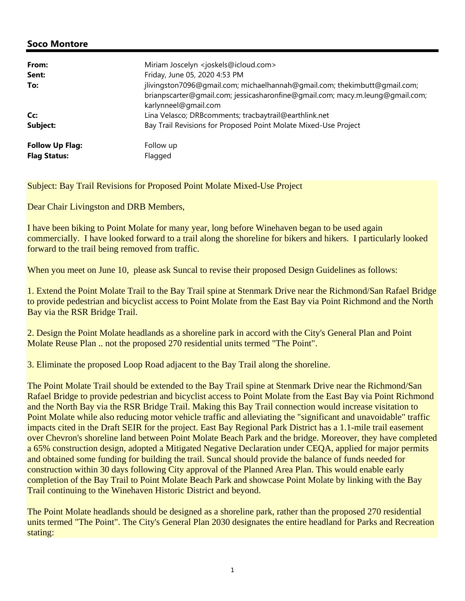| From:<br>Sent:                                | Miriam Joscelyn <joskels@icloud.com><br/>Friday, June 05, 2020 4:53 PM</joskels@icloud.com>                                                                                        |
|-----------------------------------------------|------------------------------------------------------------------------------------------------------------------------------------------------------------------------------------|
| To:                                           | jlivingston7096@gmail.com; michaelhannah@gmail.com; thekimbutt@gmail.com;<br>brianpscarter@qmail.com; jessicasharonfine@qmail.com; macy.m.leung@qmail.com;<br>karlynneel@gmail.com |
| Cc:                                           | Lina Velasco; DRBcomments; tracbaytrail@earthlink.net                                                                                                                              |
| Subject:                                      | Bay Trail Revisions for Proposed Point Molate Mixed-Use Project                                                                                                                    |
| <b>Follow Up Flag:</b><br><b>Flag Status:</b> | Follow up<br>Flagged                                                                                                                                                               |

Subject: Bay Trail Revisions for Proposed Point Molate Mixed-Use Project

Dear Chair Livingston and DRB Members,

I have been biking to Point Molate for many year, long before Winehaven began to be used again commercially. I have looked forward to a trail along the shoreline for bikers and hikers. I particularly looked forward to the trail being removed from traffic.

When you meet on June 10, please ask Suncal to revise their proposed Design Guidelines as follows:

1. Extend the Point Molate Trail to the Bay Trail spine at Stenmark Drive near the Richmond/San Rafael Bridge to provide pedestrian and bicyclist access to Point Molate from the East Bay via Point Richmond and the North Bay via the RSR Bridge Trail.

2. Design the Point Molate headlands as a shoreline park in accord with the City's General Plan and Point Molate Reuse Plan .. not the proposed 270 residential units termed "The Point".

3. Eliminate the proposed Loop Road adjacent to the Bay Trail along the shoreline.

The Point Molate Trail should be extended to the Bay Trail spine at Stenmark Drive near the Richmond/San Rafael Bridge to provide pedestrian and bicyclist access to Point Molate from the East Bay via Point Richmond and the North Bay via the RSR Bridge Trail. Making this Bay Trail connection would increase visitation to Point Molate while also reducing motor vehicle traffic and alleviating the "significant and unavoidable" traffic impacts cited in the Draft SEIR for the project. East Bay Regional Park District has a 1.1-mile trail easement over Chevron's shoreline land between Point Molate Beach Park and the bridge. Moreover, they have completed a 65% construction design, adopted a Mitigated Negative Declaration under CEQA, applied for major permits and obtained some funding for building the trail. Suncal should provide the balance of funds needed for construction within 30 days following City approval of the Planned Area Plan. This would enable early completion of the Bay Trail to Point Molate Beach Park and showcase Point Molate by linking with the Bay Trail continuing to the Winehaven Historic District and beyond.

The Point Molate headlands should be designed as a shoreline park, rather than the proposed 270 residential units termed "The Point". The City's General Plan 2030 designates the entire headland for Parks and Recreation stating: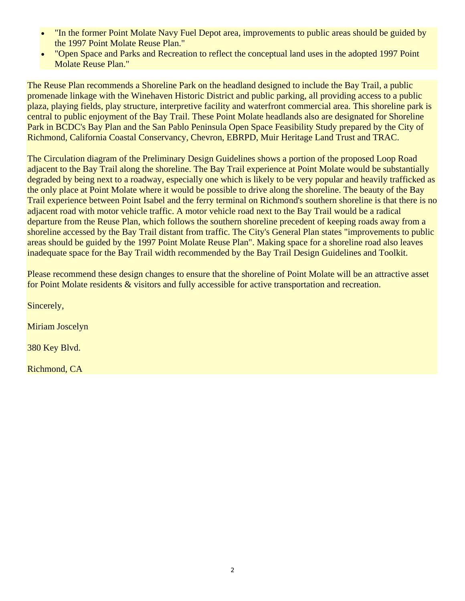- "In the former Point Molate Navy Fuel Depot area, improvements to public areas should be guided by the 1997 Point Molate Reuse Plan."
- "Open Space and Parks and Recreation to reflect the conceptual land uses in the adopted 1997 Point Molate Reuse Plan."

The Reuse Plan recommends a Shoreline Park on the headland designed to include the Bay Trail, a public promenade linkage with the Winehaven Historic District and public parking, all providing access to a public plaza, playing fields, play structure, interpretive facility and waterfront commercial area. This shoreline park is central to public enjoyment of the Bay Trail. These Point Molate headlands also are designated for Shoreline Park in BCDC's Bay Plan and the San Pablo Peninsula Open Space Feasibility Study prepared by the City of Richmond, California Coastal Conservancy, Chevron, EBRPD, Muir Heritage Land Trust and TRAC.

The Circulation diagram of the Preliminary Design Guidelines shows a portion of the proposed Loop Road adjacent to the Bay Trail along the shoreline. The Bay Trail experience at Point Molate would be substantially degraded by being next to a roadway, especially one which is likely to be very popular and heavily trafficked as the only place at Point Molate where it would be possible to drive along the shoreline. The beauty of the Bay Trail experience between Point Isabel and the ferry terminal on Richmond's southern shoreline is that there is no adjacent road with motor vehicle traffic. A motor vehicle road next to the Bay Trail would be a radical departure from the Reuse Plan, which follows the southern shoreline precedent of keeping roads away from a shoreline accessed by the Bay Trail distant from traffic. The City's General Plan states "improvements to public areas should be guided by the 1997 Point Molate Reuse Plan". Making space for a shoreline road also leaves inadequate space for the Bay Trail width recommended by the Bay Trail Design Guidelines and Toolkit.

Please recommend these design changes to ensure that the shoreline of Point Molate will be an attractive asset for Point Molate residents & visitors and fully accessible for active transportation and recreation.

Sincerely,

Miriam Joscelyn

380 Key Blvd.

Richmond, CA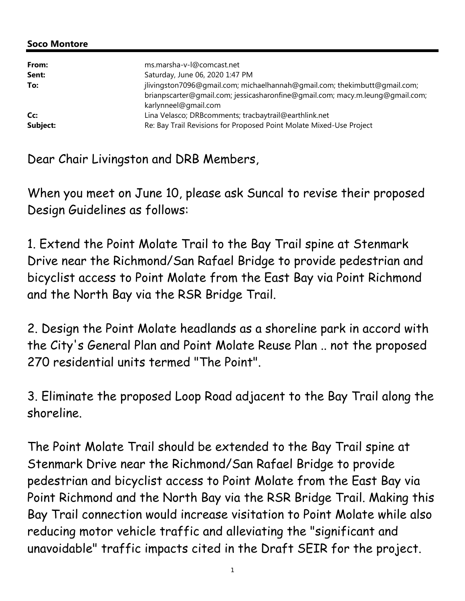| From:    | ms.marsha-v-l@comcast.net                                                                                                                                                          |
|----------|------------------------------------------------------------------------------------------------------------------------------------------------------------------------------------|
| Sent:    | Saturday, June 06, 2020 1:47 PM                                                                                                                                                    |
| To:      | jlivingston7096@gmail.com; michaelhannah@gmail.com; thekimbutt@gmail.com;<br>brianpscarter@gmail.com; jessicasharonfine@gmail.com; macy.m.leung@gmail.com;<br>karlynneel@gmail.com |
| Cc:      | Lina Velasco; DRBcomments; tracbaytrail@earthlink.net                                                                                                                              |
| Subject: | Re: Bay Trail Revisions for Proposed Point Molate Mixed-Use Project                                                                                                                |

Dear Chair Livingston and DRB Members,

When you meet on June 10, please ask Suncal to revise their proposed Design Guidelines as follows:

1. Extend the Point Molate Trail to the Bay Trail spine at Stenmark Drive near the Richmond/San Rafael Bridge to provide pedestrian and bicyclist access to Point Molate from the East Bay via Point Richmond and the North Bay via the RSR Bridge Trail.

2. Design the Point Molate headlands as a shoreline park in accord with the City's General Plan and Point Molate Reuse Plan .. not the proposed 270 residential units termed "The Point".

3. Eliminate the proposed Loop Road adjacent to the Bay Trail along the shoreline.

The Point Molate Trail should be extended to the Bay Trail spine at Stenmark Drive near the Richmond/San Rafael Bridge to provide pedestrian and bicyclist access to Point Molate from the East Bay via Point Richmond and the North Bay via the RSR Bridge Trail. Making this Bay Trail connection would increase visitation to Point Molate while also reducing motor vehicle traffic and alleviating the "significant and unavoidable" traffic impacts cited in the Draft SEIR for the project.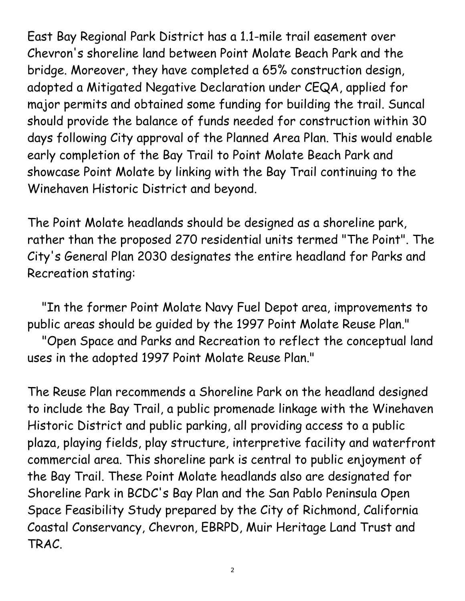East Bay Regional Park District has a 1.1-mile trail easement over Chevron's shoreline land between Point Molate Beach Park and the bridge. Moreover, they have completed a 65% construction design, adopted a Mitigated Negative Declaration under CEQA, applied for major permits and obtained some funding for building the trail. Suncal should provide the balance of funds needed for construction within 30 days following City approval of the Planned Area Plan. This would enable early completion of the Bay Trail to Point Molate Beach Park and showcase Point Molate by linking with the Bay Trail continuing to the Winehaven Historic District and beyond.

The Point Molate headlands should be designed as a shoreline park, rather than the proposed 270 residential units termed "The Point". The City's General Plan 2030 designates the entire headland for Parks and Recreation stating:

 "In the former Point Molate Navy Fuel Depot area, improvements to public areas should be guided by the 1997 Point Molate Reuse Plan."

 "Open Space and Parks and Recreation to reflect the conceptual land uses in the adopted 1997 Point Molate Reuse Plan."

The Reuse Plan recommends a Shoreline Park on the headland designed to include the Bay Trail, a public promenade linkage with the Winehaven Historic District and public parking, all providing access to a public plaza, playing fields, play structure, interpretive facility and waterfront commercial area. This shoreline park is central to public enjoyment of the Bay Trail. These Point Molate headlands also are designated for Shoreline Park in BCDC's Bay Plan and the San Pablo Peninsula Open Space Feasibility Study prepared by the City of Richmond, California Coastal Conservancy, Chevron, EBRPD, Muir Heritage Land Trust and TRAC.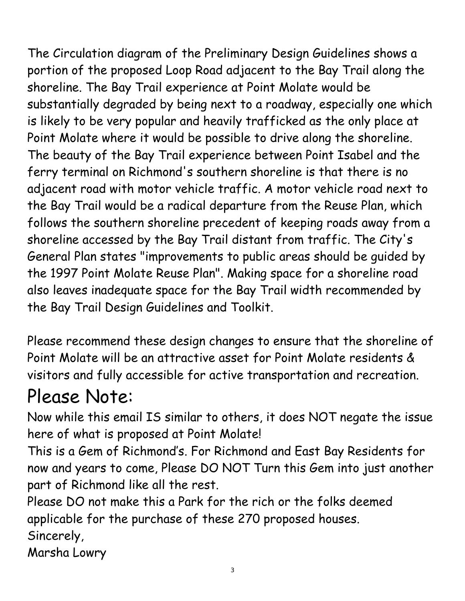The Circulation diagram of the Preliminary Design Guidelines shows a portion of the proposed Loop Road adjacent to the Bay Trail along the shoreline. The Bay Trail experience at Point Molate would be substantially degraded by being next to a roadway, especially one which is likely to be very popular and heavily trafficked as the only place at Point Molate where it would be possible to drive along the shoreline. The beauty of the Bay Trail experience between Point Isabel and the ferry terminal on Richmond's southern shoreline is that there is no adjacent road with motor vehicle traffic. A motor vehicle road next to the Bay Trail would be a radical departure from the Reuse Plan, which follows the southern shoreline precedent of keeping roads away from a shoreline accessed by the Bay Trail distant from traffic. The City's General Plan states "improvements to public areas should be guided by the 1997 Point Molate Reuse Plan". Making space for a shoreline road also leaves inadequate space for the Bay Trail width recommended by the Bay Trail Design Guidelines and Toolkit.

Please recommend these design changes to ensure that the shoreline of Point Molate will be an attractive asset for Point Molate residents & visitors and fully accessible for active transportation and recreation.

# Please Note:

Now while this email IS similar to others, it does NOT negate the issue here of what is proposed at Point Molate!

This is a Gem of Richmond's. For Richmond and East Bay Residents for now and years to come, Please DO NOT Turn this Gem into just another part of Richmond like all the rest.

Please DO not make this a Park for the rich or the folks deemed applicable for the purchase of these 270 proposed houses. Sincerely,

Marsha Lowry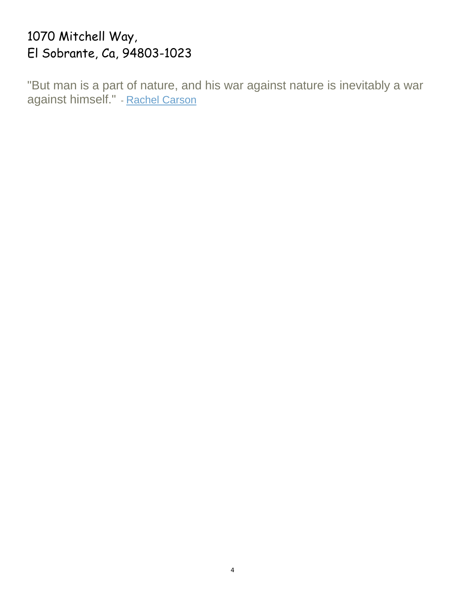# 1070 Mitchell Way, El Sobrante, Ca, 94803-1023

"But man is a part of nature, and his war against nature is inevitably a war against himself." - Rachel Carson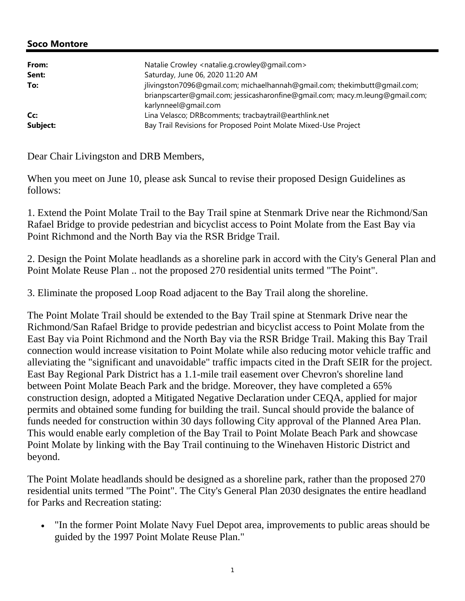| From:    | Natalie Crowley <natalie.g.crowley@gmail.com></natalie.g.crowley@gmail.com>                                                                                                        |
|----------|------------------------------------------------------------------------------------------------------------------------------------------------------------------------------------|
| Sent:    | Saturday, June 06, 2020 11:20 AM                                                                                                                                                   |
| To:      | jlivingston7096@gmail.com; michaelhannah@gmail.com; thekimbutt@gmail.com;<br>brianpscarter@qmail.com; jessicasharonfine@qmail.com; macy.m.leung@qmail.com;<br>karlynneel@gmail.com |
| Cc:      | Lina Velasco; DRBcomments; tracbaytrail@earthlink.net                                                                                                                              |
| Subject: | Bay Trail Revisions for Proposed Point Molate Mixed-Use Project                                                                                                                    |

Dear Chair Livingston and DRB Members,

When you meet on June 10, please ask Suncal to revise their proposed Design Guidelines as follows:

1. Extend the Point Molate Trail to the Bay Trail spine at Stenmark Drive near the Richmond/San Rafael Bridge to provide pedestrian and bicyclist access to Point Molate from the East Bay via Point Richmond and the North Bay via the RSR Bridge Trail.

2. Design the Point Molate headlands as a shoreline park in accord with the City's General Plan and Point Molate Reuse Plan .. not the proposed 270 residential units termed "The Point".

3. Eliminate the proposed Loop Road adjacent to the Bay Trail along the shoreline.

The Point Molate Trail should be extended to the Bay Trail spine at Stenmark Drive near the Richmond/San Rafael Bridge to provide pedestrian and bicyclist access to Point Molate from the East Bay via Point Richmond and the North Bay via the RSR Bridge Trail. Making this Bay Trail connection would increase visitation to Point Molate while also reducing motor vehicle traffic and alleviating the "significant and unavoidable" traffic impacts cited in the Draft SEIR for the project. East Bay Regional Park District has a 1.1-mile trail easement over Chevron's shoreline land between Point Molate Beach Park and the bridge. Moreover, they have completed a 65% construction design, adopted a Mitigated Negative Declaration under CEQA, applied for major permits and obtained some funding for building the trail. Suncal should provide the balance of funds needed for construction within 30 days following City approval of the Planned Area Plan. This would enable early completion of the Bay Trail to Point Molate Beach Park and showcase Point Molate by linking with the Bay Trail continuing to the Winehaven Historic District and beyond.

The Point Molate headlands should be designed as a shoreline park, rather than the proposed 270 residential units termed "The Point". The City's General Plan 2030 designates the entire headland for Parks and Recreation stating:

• "In the former Point Molate Navy Fuel Depot area, improvements to public areas should be guided by the 1997 Point Molate Reuse Plan."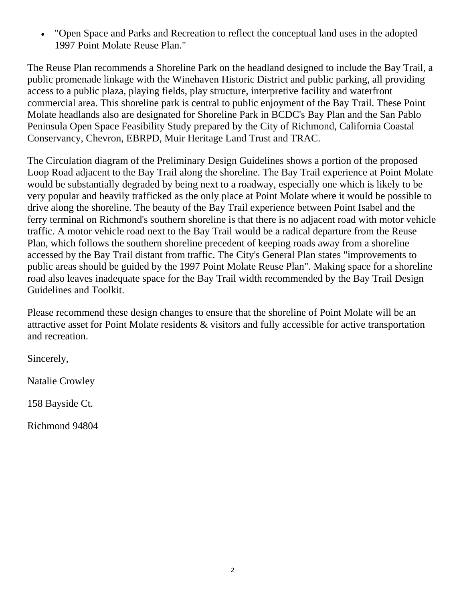"Open Space and Parks and Recreation to reflect the conceptual land uses in the adopted 1997 Point Molate Reuse Plan."

The Reuse Plan recommends a Shoreline Park on the headland designed to include the Bay Trail, a public promenade linkage with the Winehaven Historic District and public parking, all providing access to a public plaza, playing fields, play structure, interpretive facility and waterfront commercial area. This shoreline park is central to public enjoyment of the Bay Trail. These Point Molate headlands also are designated for Shoreline Park in BCDC's Bay Plan and the San Pablo Peninsula Open Space Feasibility Study prepared by the City of Richmond, California Coastal Conservancy, Chevron, EBRPD, Muir Heritage Land Trust and TRAC.

The Circulation diagram of the Preliminary Design Guidelines shows a portion of the proposed Loop Road adjacent to the Bay Trail along the shoreline. The Bay Trail experience at Point Molate would be substantially degraded by being next to a roadway, especially one which is likely to be very popular and heavily trafficked as the only place at Point Molate where it would be possible to drive along the shoreline. The beauty of the Bay Trail experience between Point Isabel and the ferry terminal on Richmond's southern shoreline is that there is no adjacent road with motor vehicle traffic. A motor vehicle road next to the Bay Trail would be a radical departure from the Reuse Plan, which follows the southern shoreline precedent of keeping roads away from a shoreline accessed by the Bay Trail distant from traffic. The City's General Plan states "improvements to public areas should be guided by the 1997 Point Molate Reuse Plan". Making space for a shoreline road also leaves inadequate space for the Bay Trail width recommended by the Bay Trail Design Guidelines and Toolkit.

Please recommend these design changes to ensure that the shoreline of Point Molate will be an attractive asset for Point Molate residents & visitors and fully accessible for active transportation and recreation.

Sincerely,

Natalie Crowley

158 Bayside Ct.

Richmond 94804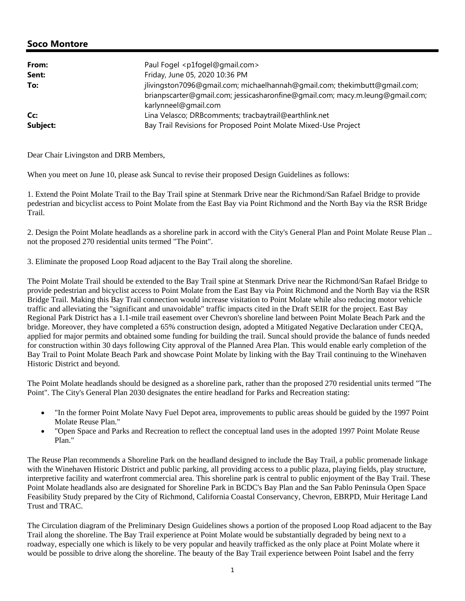| From:    | Paul Fogel <p1fogel@gmail.com></p1fogel@gmail.com>                                                                                                                                 |
|----------|------------------------------------------------------------------------------------------------------------------------------------------------------------------------------------|
| Sent:    | Friday, June 05, 2020 10:36 PM                                                                                                                                                     |
| To:      | jlivingston7096@gmail.com; michaelhannah@gmail.com; thekimbutt@gmail.com;<br>brianpscarter@qmail.com; jessicasharonfine@qmail.com; macy.m.leung@qmail.com;<br>karlynneel@gmail.com |
| Cc:      | Lina Velasco; DRBcomments; tracbaytrail@earthlink.net                                                                                                                              |
| Subject: | Bay Trail Revisions for Proposed Point Molate Mixed-Use Project                                                                                                                    |

Dear Chair Livingston and DRB Members,

When you meet on June 10, please ask Suncal to revise their proposed Design Guidelines as follows:

1. Extend the Point Molate Trail to the Bay Trail spine at Stenmark Drive near the Richmond/San Rafael Bridge to provide pedestrian and bicyclist access to Point Molate from the East Bay via Point Richmond and the North Bay via the RSR Bridge Trail.

2. Design the Point Molate headlands as a shoreline park in accord with the City's General Plan and Point Molate Reuse Plan .. not the proposed 270 residential units termed "The Point".

3. Eliminate the proposed Loop Road adjacent to the Bay Trail along the shoreline.

The Point Molate Trail should be extended to the Bay Trail spine at Stenmark Drive near the Richmond/San Rafael Bridge to provide pedestrian and bicyclist access to Point Molate from the East Bay via Point Richmond and the North Bay via the RSR Bridge Trail. Making this Bay Trail connection would increase visitation to Point Molate while also reducing motor vehicle traffic and alleviating the "significant and unavoidable" traffic impacts cited in the Draft SEIR for the project. East Bay Regional Park District has a 1.1-mile trail easement over Chevron's shoreline land between Point Molate Beach Park and the bridge. Moreover, they have completed a 65% construction design, adopted a Mitigated Negative Declaration under CEQA, applied for major permits and obtained some funding for building the trail. Suncal should provide the balance of funds needed for construction within 30 days following City approval of the Planned Area Plan. This would enable early completion of the Bay Trail to Point Molate Beach Park and showcase Point Molate by linking with the Bay Trail continuing to the Winehaven Historic District and beyond.

The Point Molate headlands should be designed as a shoreline park, rather than the proposed 270 residential units termed "The Point". The City's General Plan 2030 designates the entire headland for Parks and Recreation stating:

- "In the former Point Molate Navy Fuel Depot area, improvements to public areas should be guided by the 1997 Point Molate Reuse Plan."
- "Open Space and Parks and Recreation to reflect the conceptual land uses in the adopted 1997 Point Molate Reuse Plan."

The Reuse Plan recommends a Shoreline Park on the headland designed to include the Bay Trail, a public promenade linkage with the Winehaven Historic District and public parking, all providing access to a public plaza, playing fields, play structure, interpretive facility and waterfront commercial area. This shoreline park is central to public enjoyment of the Bay Trail. These Point Molate headlands also are designated for Shoreline Park in BCDC's Bay Plan and the San Pablo Peninsula Open Space Feasibility Study prepared by the City of Richmond, California Coastal Conservancy, Chevron, EBRPD, Muir Heritage Land Trust and TRAC.

The Circulation diagram of the Preliminary Design Guidelines shows a portion of the proposed Loop Road adjacent to the Bay Trail along the shoreline. The Bay Trail experience at Point Molate would be substantially degraded by being next to a roadway, especially one which is likely to be very popular and heavily trafficked as the only place at Point Molate where it would be possible to drive along the shoreline. The beauty of the Bay Trail experience between Point Isabel and the ferry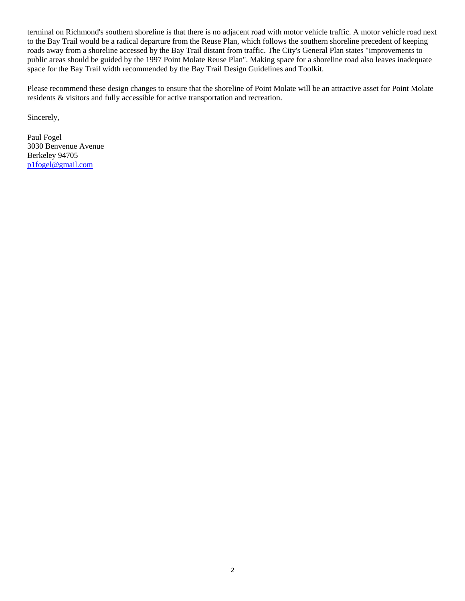terminal on Richmond's southern shoreline is that there is no adjacent road with motor vehicle traffic. A motor vehicle road next to the Bay Trail would be a radical departure from the Reuse Plan, which follows the southern shoreline precedent of keeping roads away from a shoreline accessed by the Bay Trail distant from traffic. The City's General Plan states "improvements to public areas should be guided by the 1997 Point Molate Reuse Plan". Making space for a shoreline road also leaves inadequate space for the Bay Trail width recommended by the Bay Trail Design Guidelines and Toolkit.

Please recommend these design changes to ensure that the shoreline of Point Molate will be an attractive asset for Point Molate residents & visitors and fully accessible for active transportation and recreation.

Sincerely,

Paul Fogel 3030 Benvenue Avenue Berkeley 94705 p1fogel@gmail.com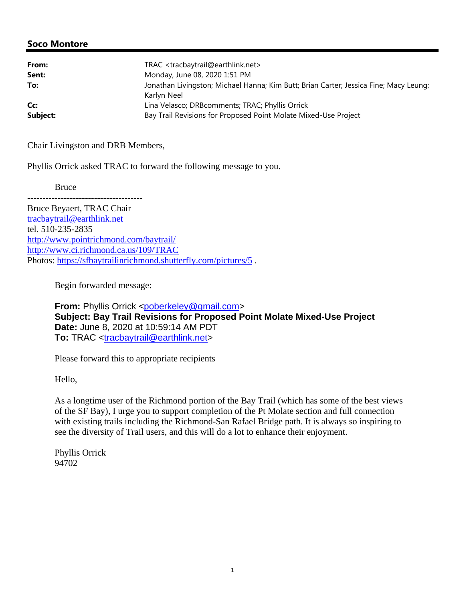| From:    | TRAC <tracbaytrail@earthlink.net></tracbaytrail@earthlink.net>                                       |
|----------|------------------------------------------------------------------------------------------------------|
| Sent:    | Monday, June 08, 2020 1:51 PM                                                                        |
| To:      | Jonathan Livingston; Michael Hanna; Kim Butt; Brian Carter; Jessica Fine; Macy Leung;<br>Karlvn Neel |
| Cc:      | Lina Velasco; DRBcomments; TRAC; Phyllis Orrick                                                      |
| Subject: | Bay Trail Revisions for Proposed Point Molate Mixed-Use Project                                      |

Chair Livingston and DRB Members,

Phyllis Orrick asked TRAC to forward the following message to you.

Bruce

Bruce Beyaert, TRAC Chair tracbaytrail@earthlink.net tel. 510-235-2835 http://www.pointrichmond.com/baytrail/ http://www.ci.richmond.ca.us/109/TRAC Photos: https://sfbaytrailinrichmond.shutterfly.com/pictures/5 .

Begin forwarded message:

**From:** Phyllis Orrick <poberkeley@gmail.com> **Subject: Bay Trail Revisions for Proposed Point Molate Mixed-Use Project Date:** June 8, 2020 at 10:59:14 AM PDT **To:** TRAC <tracbaytrail@earthlink.net>

Please forward this to appropriate recipients

Hello,

As a longtime user of the Richmond portion of the Bay Trail (which has some of the best views of the SF Bay), I urge you to support completion of the Pt Molate section and full connection with existing trails including the Richmond-San Rafael Bridge path. It is always so inspiring to see the diversity of Trail users, and this will do a lot to enhance their enjoyment.

Phyllis Orrick 94702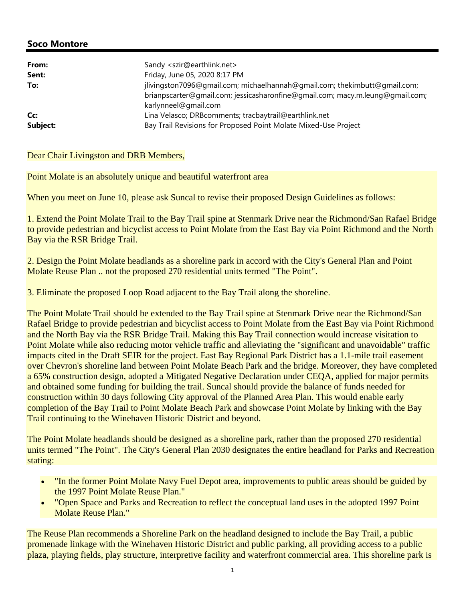| From:    | Sandy <szir@earthlink.net></szir@earthlink.net>                                                                                                                                    |
|----------|------------------------------------------------------------------------------------------------------------------------------------------------------------------------------------|
| Sent:    | Friday, June 05, 2020 8:17 PM                                                                                                                                                      |
| To:      | jlivingston7096@gmail.com; michaelhannah@gmail.com; thekimbutt@gmail.com;<br>brianpscarter@gmail.com; jessicasharonfine@gmail.com; macy.m.leung@gmail.com;<br>karlynneel@gmail.com |
| Cc:      | Lina Velasco; DRBcomments; tracbaytrail@earthlink.net                                                                                                                              |
| Subject: | Bay Trail Revisions for Proposed Point Molate Mixed-Use Project                                                                                                                    |

#### Dear Chair Livingston and DRB Members,

Point Molate is an absolutely unique and beautiful waterfront area

When you meet on June 10, please ask Suncal to revise their proposed Design Guidelines as follows:

1. Extend the Point Molate Trail to the Bay Trail spine at Stenmark Drive near the Richmond/San Rafael Bridge to provide pedestrian and bicyclist access to Point Molate from the East Bay via Point Richmond and the North Bay via the RSR Bridge Trail.

2. Design the Point Molate headlands as a shoreline park in accord with the City's General Plan and Point Molate Reuse Plan .. not the proposed 270 residential units termed "The Point".

3. Eliminate the proposed Loop Road adjacent to the Bay Trail along the shoreline.

The Point Molate Trail should be extended to the Bay Trail spine at Stenmark Drive near the Richmond/San Rafael Bridge to provide pedestrian and bicyclist access to Point Molate from the East Bay via Point Richmond and the North Bay via the RSR Bridge Trail. Making this Bay Trail connection would increase visitation to Point Molate while also reducing motor vehicle traffic and alleviating the "significant and unavoidable" traffic impacts cited in the Draft SEIR for the project. East Bay Regional Park District has a 1.1-mile trail easement over Chevron's shoreline land between Point Molate Beach Park and the bridge. Moreover, they have completed a 65% construction design, adopted a Mitigated Negative Declaration under CEQA, applied for major permits and obtained some funding for building the trail. Suncal should provide the balance of funds needed for construction within 30 days following City approval of the Planned Area Plan. This would enable early completion of the Bay Trail to Point Molate Beach Park and showcase Point Molate by linking with the Bay Trail continuing to the Winehaven Historic District and beyond.

The Point Molate headlands should be designed as a shoreline park, rather than the proposed 270 residential units termed "The Point". The City's General Plan 2030 designates the entire headland for Parks and Recreation stating:

- "In the former Point Molate Navy Fuel Depot area, improvements to public areas should be guided by the 1997 Point Molate Reuse Plan."
- "Open Space and Parks and Recreation to reflect the conceptual land uses in the adopted 1997 Point Molate Reuse Plan."

The Reuse Plan recommends a Shoreline Park on the headland designed to include the Bay Trail, a public promenade linkage with the Winehaven Historic District and public parking, all providing access to a public plaza, playing fields, play structure, interpretive facility and waterfront commercial area. This shoreline park is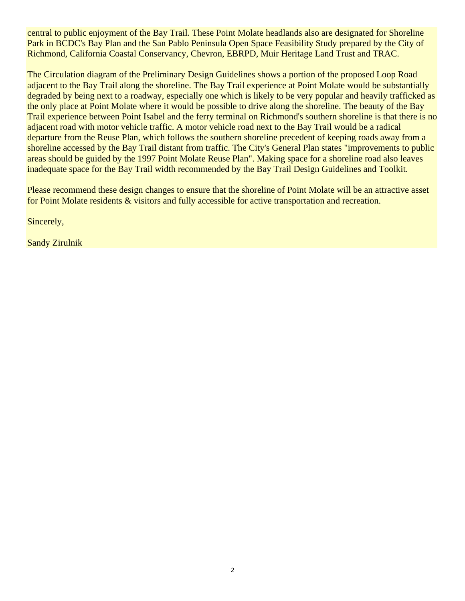central to public enjoyment of the Bay Trail. These Point Molate headlands also are designated for Shoreline Park in BCDC's Bay Plan and the San Pablo Peninsula Open Space Feasibility Study prepared by the City of Richmond, California Coastal Conservancy, Chevron, EBRPD, Muir Heritage Land Trust and TRAC.

The Circulation diagram of the Preliminary Design Guidelines shows a portion of the proposed Loop Road adjacent to the Bay Trail along the shoreline. The Bay Trail experience at Point Molate would be substantially degraded by being next to a roadway, especially one which is likely to be very popular and heavily trafficked as the only place at Point Molate where it would be possible to drive along the shoreline. The beauty of the Bay Trail experience between Point Isabel and the ferry terminal on Richmond's southern shoreline is that there is no adjacent road with motor vehicle traffic. A motor vehicle road next to the Bay Trail would be a radical departure from the Reuse Plan, which follows the southern shoreline precedent of keeping roads away from a shoreline accessed by the Bay Trail distant from traffic. The City's General Plan states "improvements to public areas should be guided by the 1997 Point Molate Reuse Plan". Making space for a shoreline road also leaves inadequate space for the Bay Trail width recommended by the Bay Trail Design Guidelines and Toolkit.

Please recommend these design changes to ensure that the shoreline of Point Molate will be an attractive asset for Point Molate residents & visitors and fully accessible for active transportation and recreation.

Sincerely,

Sandy Zirulnik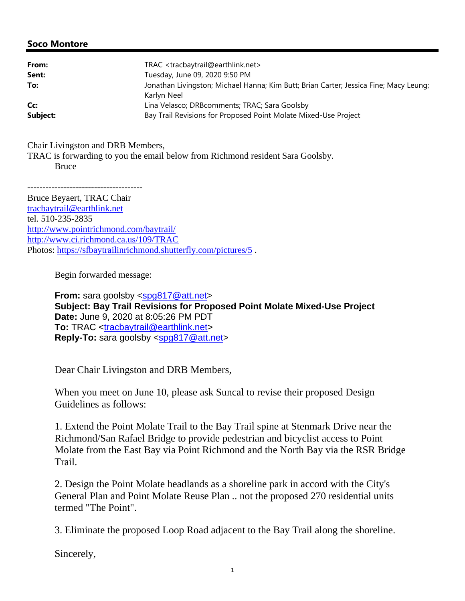| From:    | TRAC <tracbaytrail@earthlink.net></tracbaytrail@earthlink.net>                                       |
|----------|------------------------------------------------------------------------------------------------------|
| Sent:    | Tuesday, June 09, 2020 9:50 PM                                                                       |
| To:      | Jonathan Livingston; Michael Hanna; Kim Butt; Brian Carter; Jessica Fine; Macy Leung;<br>Karlyn Neel |
| Cc:      | Lina Velasco; DRBcomments; TRAC; Sara Goolsby                                                        |
| Subject: | Bay Trail Revisions for Proposed Point Molate Mixed-Use Project                                      |

Chair Livingston and DRB Members, TRAC is forwarding to you the email below from Richmond resident Sara Goolsby. Bruce

-------------------------------------- Bruce Beyaert, TRAC Chair tracbaytrail@earthlink.net tel. 510-235-2835 http://www.pointrichmond.com/baytrail/ http://www.ci.richmond.ca.us/109/TRAC Photos: https://sfbaytrailinrichmond.shutterfly.com/pictures/5.

Begin forwarded message:

**From:** sara goolsby <spg817@att.net> **Subject: Bay Trail Revisions for Proposed Point Molate Mixed-Use Project Date:** June 9, 2020 at 8:05:26 PM PDT **To:** TRAC <tracbaytrail@earthlink.net> **Reply-To:** sara goolsby <spg817@att.net>

Dear Chair Livingston and DRB Members,

When you meet on June 10, please ask Suncal to revise their proposed Design Guidelines as follows:

1. Extend the Point Molate Trail to the Bay Trail spine at Stenmark Drive near the Richmond/San Rafael Bridge to provide pedestrian and bicyclist access to Point Molate from the East Bay via Point Richmond and the North Bay via the RSR Bridge Trail.

2. Design the Point Molate headlands as a shoreline park in accord with the City's General Plan and Point Molate Reuse Plan .. not the proposed 270 residential units termed "The Point".

3. Eliminate the proposed Loop Road adjacent to the Bay Trail along the shoreline.

Sincerely,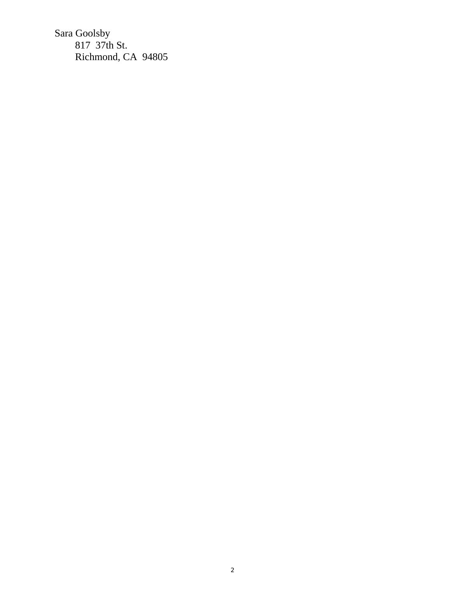Sara Goolsby 817 37th St. Richmond, CA 94805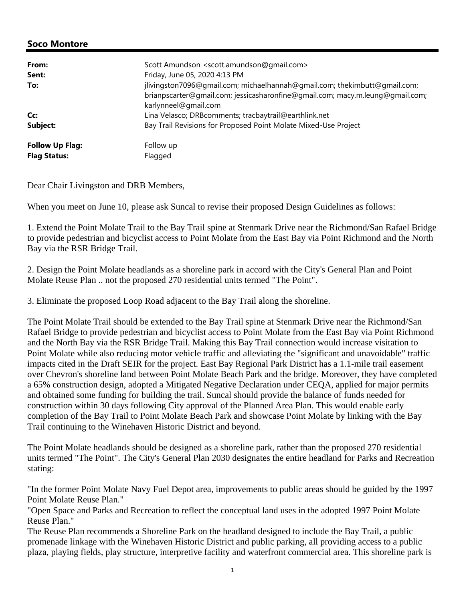| From:<br>Sent:<br>To:  | Scott Amundson <scott.amundson@qmail.com><br/>Friday, June 05, 2020 4:13 PM<br/>jlivingston7096@gmail.com; michaelhannah@gmail.com; thekimbutt@gmail.com;</scott.amundson@qmail.com> |
|------------------------|--------------------------------------------------------------------------------------------------------------------------------------------------------------------------------------|
|                        | brianpscarter@qmail.com; jessicasharonfine@qmail.com; macy.m.leung@qmail.com;<br>karlynneel@gmail.com                                                                                |
| Cc:                    | Lina Velasco; DRBcomments; tracbaytrail@earthlink.net                                                                                                                                |
| Subject:               | Bay Trail Revisions for Proposed Point Molate Mixed-Use Project                                                                                                                      |
| <b>Follow Up Flag:</b> | Follow up                                                                                                                                                                            |
| <b>Flag Status:</b>    | Flagged                                                                                                                                                                              |

Dear Chair Livingston and DRB Members,

When you meet on June 10, please ask Suncal to revise their proposed Design Guidelines as follows:

1. Extend the Point Molate Trail to the Bay Trail spine at Stenmark Drive near the Richmond/San Rafael Bridge to provide pedestrian and bicyclist access to Point Molate from the East Bay via Point Richmond and the North Bay via the RSR Bridge Trail.

2. Design the Point Molate headlands as a shoreline park in accord with the City's General Plan and Point Molate Reuse Plan .. not the proposed 270 residential units termed "The Point".

3. Eliminate the proposed Loop Road adjacent to the Bay Trail along the shoreline.

The Point Molate Trail should be extended to the Bay Trail spine at Stenmark Drive near the Richmond/San Rafael Bridge to provide pedestrian and bicyclist access to Point Molate from the East Bay via Point Richmond and the North Bay via the RSR Bridge Trail. Making this Bay Trail connection would increase visitation to Point Molate while also reducing motor vehicle traffic and alleviating the "significant and unavoidable" traffic impacts cited in the Draft SEIR for the project. East Bay Regional Park District has a 1.1-mile trail easement over Chevron's shoreline land between Point Molate Beach Park and the bridge. Moreover, they have completed a 65% construction design, adopted a Mitigated Negative Declaration under CEQA, applied for major permits and obtained some funding for building the trail. Suncal should provide the balance of funds needed for construction within 30 days following City approval of the Planned Area Plan. This would enable early completion of the Bay Trail to Point Molate Beach Park and showcase Point Molate by linking with the Bay Trail continuing to the Winehaven Historic District and beyond.

The Point Molate headlands should be designed as a shoreline park, rather than the proposed 270 residential units termed "The Point". The City's General Plan 2030 designates the entire headland for Parks and Recreation stating:

"In the former Point Molate Navy Fuel Depot area, improvements to public areas should be guided by the 1997 Point Molate Reuse Plan."

"Open Space and Parks and Recreation to reflect the conceptual land uses in the adopted 1997 Point Molate Reuse Plan."

The Reuse Plan recommends a Shoreline Park on the headland designed to include the Bay Trail, a public promenade linkage with the Winehaven Historic District and public parking, all providing access to a public plaza, playing fields, play structure, interpretive facility and waterfront commercial area. This shoreline park is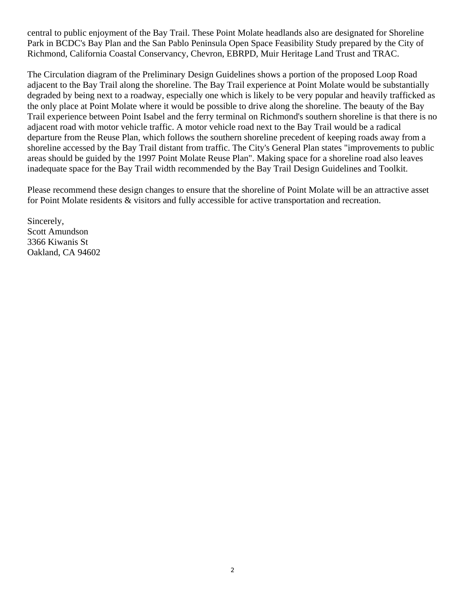central to public enjoyment of the Bay Trail. These Point Molate headlands also are designated for Shoreline Park in BCDC's Bay Plan and the San Pablo Peninsula Open Space Feasibility Study prepared by the City of Richmond, California Coastal Conservancy, Chevron, EBRPD, Muir Heritage Land Trust and TRAC.

The Circulation diagram of the Preliminary Design Guidelines shows a portion of the proposed Loop Road adjacent to the Bay Trail along the shoreline. The Bay Trail experience at Point Molate would be substantially degraded by being next to a roadway, especially one which is likely to be very popular and heavily trafficked as the only place at Point Molate where it would be possible to drive along the shoreline. The beauty of the Bay Trail experience between Point Isabel and the ferry terminal on Richmond's southern shoreline is that there is no adjacent road with motor vehicle traffic. A motor vehicle road next to the Bay Trail would be a radical departure from the Reuse Plan, which follows the southern shoreline precedent of keeping roads away from a shoreline accessed by the Bay Trail distant from traffic. The City's General Plan states "improvements to public areas should be guided by the 1997 Point Molate Reuse Plan". Making space for a shoreline road also leaves inadequate space for the Bay Trail width recommended by the Bay Trail Design Guidelines and Toolkit.

Please recommend these design changes to ensure that the shoreline of Point Molate will be an attractive asset for Point Molate residents & visitors and fully accessible for active transportation and recreation.

Sincerely, Scott Amundson 3366 Kiwanis St Oakland, CA 94602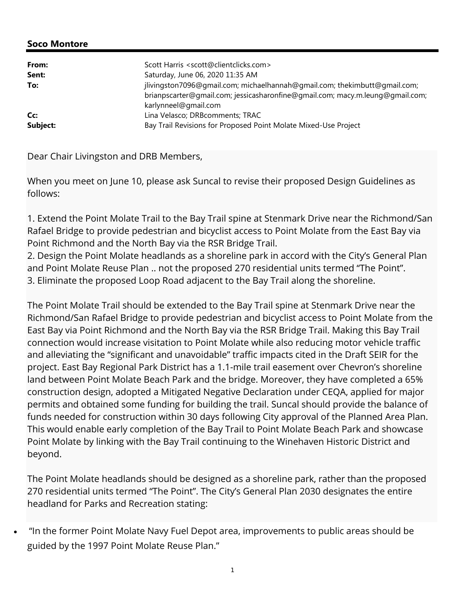| From:<br>Sent: | Scott Harris <scott@clientclicks.com><br/>Saturday, June 06, 2020 11:35 AM</scott@clientclicks.com>   |
|----------------|-------------------------------------------------------------------------------------------------------|
| To:            | jlivingston7096@gmail.com; michaelhannah@gmail.com; thekimbutt@gmail.com;                             |
|                | brianpscarter@qmail.com; jessicasharonfine@qmail.com; macy.m.leung@qmail.com;<br>karlynneel@gmail.com |
| Cc:            | Lina Velasco; DRBcomments; TRAC                                                                       |
| Subject:       | Bay Trail Revisions for Proposed Point Molate Mixed-Use Project                                       |

Dear Chair Livingston and DRB Members,

When you meet on June 10, please ask Suncal to revise their proposed Design Guidelines as follows:

1. Extend the Point Molate Trail to the Bay Trail spine at Stenmark Drive near the Richmond/San Rafael Bridge to provide pedestrian and bicyclist access to Point Molate from the East Bay via Point Richmond and the North Bay via the RSR Bridge Trail.

2. Design the Point Molate headlands as a shoreline park in accord with the City's General Plan and Point Molate Reuse Plan .. not the proposed 270 residential units termed "The Point". 3. Eliminate the proposed Loop Road adjacent to the Bay Trail along the shoreline.

The Point Molate Trail should be extended to the Bay Trail spine at Stenmark Drive near the Richmond/San Rafael Bridge to provide pedestrian and bicyclist access to Point Molate from the East Bay via Point Richmond and the North Bay via the RSR Bridge Trail. Making this Bay Trail connection would increase visitation to Point Molate while also reducing motor vehicle traffic and alleviating the "significant and unavoidable" traffic impacts cited in the Draft SEIR for the project. East Bay Regional Park District has a 1.1-mile trail easement over Chevron's shoreline land between Point Molate Beach Park and the bridge. Moreover, they have completed a 65% construction design, adopted a Mitigated Negative Declaration under CEQA, applied for major permits and obtained some funding for building the trail. Suncal should provide the balance of funds needed for construction within 30 days following City approval of the Planned Area Plan. This would enable early completion of the Bay Trail to Point Molate Beach Park and showcase Point Molate by linking with the Bay Trail continuing to the Winehaven Historic District and beyond.

The Point Molate headlands should be designed as a shoreline park, rather than the proposed 270 residential units termed "The Point". The City's General Plan 2030 designates the entire headland for Parks and Recreation stating:

 "In the former Point Molate Navy Fuel Depot area, improvements to public areas should be guided by the 1997 Point Molate Reuse Plan."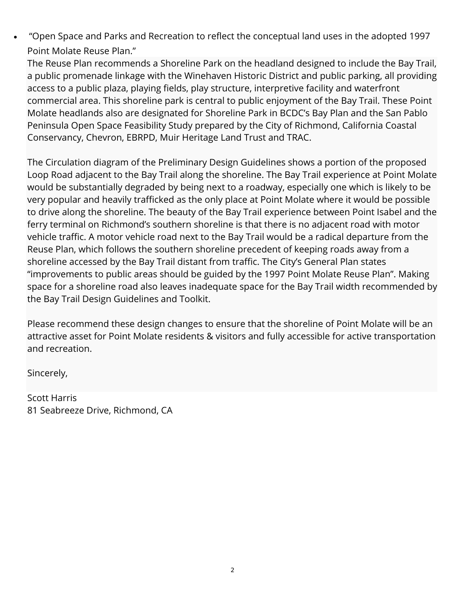"Open Space and Parks and Recreation to reflect the conceptual land uses in the adopted 1997 Point Molate Reuse Plan."

The Reuse Plan recommends a Shoreline Park on the headland designed to include the Bay Trail, a public promenade linkage with the Winehaven Historic District and public parking, all providing access to a public plaza, playing fields, play structure, interpretive facility and waterfront commercial area. This shoreline park is central to public enjoyment of the Bay Trail. These Point Molate headlands also are designated for Shoreline Park in BCDC's Bay Plan and the San Pablo Peninsula Open Space Feasibility Study prepared by the City of Richmond, California Coastal Conservancy, Chevron, EBRPD, Muir Heritage Land Trust and TRAC.

The Circulation diagram of the Preliminary Design Guidelines shows a portion of the proposed Loop Road adjacent to the Bay Trail along the shoreline. The Bay Trail experience at Point Molate would be substantially degraded by being next to a roadway, especially one which is likely to be very popular and heavily trafficked as the only place at Point Molate where it would be possible to drive along the shoreline. The beauty of the Bay Trail experience between Point Isabel and the ferry terminal on Richmond's southern shoreline is that there is no adjacent road with motor vehicle traffic. A motor vehicle road next to the Bay Trail would be a radical departure from the Reuse Plan, which follows the southern shoreline precedent of keeping roads away from a shoreline accessed by the Bay Trail distant from traffic. The City's General Plan states "improvements to public areas should be guided by the 1997 Point Molate Reuse Plan". Making space for a shoreline road also leaves inadequate space for the Bay Trail width recommended by the Bay Trail Design Guidelines and Toolkit.

Please recommend these design changes to ensure that the shoreline of Point Molate will be an attractive asset for Point Molate residents & visitors and fully accessible for active transportation and recreation.

Sincerely,

Scott Harris 81 Seabreeze Drive, Richmond, CA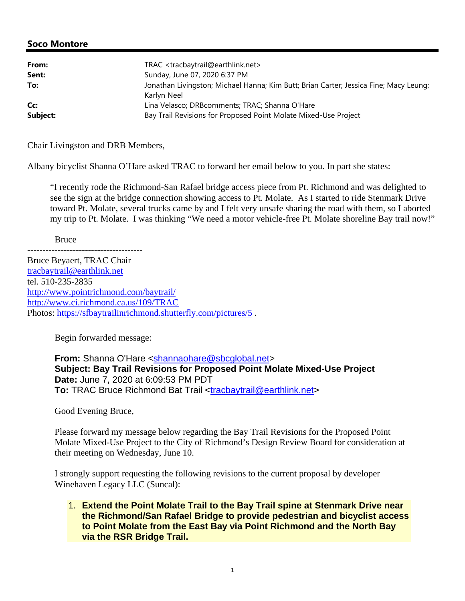| From:    | TRAC <tracbaytrail@earthlink.net></tracbaytrail@earthlink.net>                                       |
|----------|------------------------------------------------------------------------------------------------------|
| Sent:    | Sunday, June 07, 2020 6:37 PM                                                                        |
| To:      | Jonathan Livingston; Michael Hanna; Kim Butt; Brian Carter; Jessica Fine; Macy Leung;<br>Karlyn Neel |
| Cc:      | Lina Velasco; DRBcomments; TRAC; Shanna O'Hare                                                       |
| Subject: | Bay Trail Revisions for Proposed Point Molate Mixed-Use Project                                      |

Chair Livingston and DRB Members,

Albany bicyclist Shanna O'Hare asked TRAC to forward her email below to you. In part she states:

"I recently rode the Richmond-San Rafael bridge access piece from Pt. Richmond and was delighted to see the sign at the bridge connection showing access to Pt. Molate. As I started to ride Stenmark Drive toward Pt. Molate, several trucks came by and I felt very unsafe sharing the road with them, so I aborted my trip to Pt. Molate. I was thinking "We need a motor vehicle-free Pt. Molate shoreline Bay trail now!"

Bruce

-------------------------------------- Bruce Beyaert, TRAC Chair tracbaytrail@earthlink.net tel. 510-235-2835 http://www.pointrichmond.com/baytrail/ http://www.ci.richmond.ca.us/109/TRAC Photos: https://sfbaytrailinrichmond.shutterfly.com/pictures/5 .

Begin forwarded message:

**From:** Shanna O'Hare <shannaohare@sbcglobal.net> **Subject: Bay Trail Revisions for Proposed Point Molate Mixed-Use Project Date:** June 7, 2020 at 6:09:53 PM PDT **To:** TRAC Bruce Richmond Bat Trail <tracbaytrail@earthlink.net>

Good Evening Bruce,

Please forward my message below regarding the Bay Trail Revisions for the Proposed Point Molate Mixed-Use Project to the City of Richmond's Design Review Board for consideration at their meeting on Wednesday, June 10.

I strongly support requesting the following revisions to the current proposal by developer Winehaven Legacy LLC (Suncal):

1. **Extend the Point Molate Trail to the Bay Trail spine at Stenmark Drive near the Richmond/San Rafael Bridge to provide pedestrian and bicyclist access to Point Molate from the East Bay via Point Richmond and the North Bay via the RSR Bridge Trail.**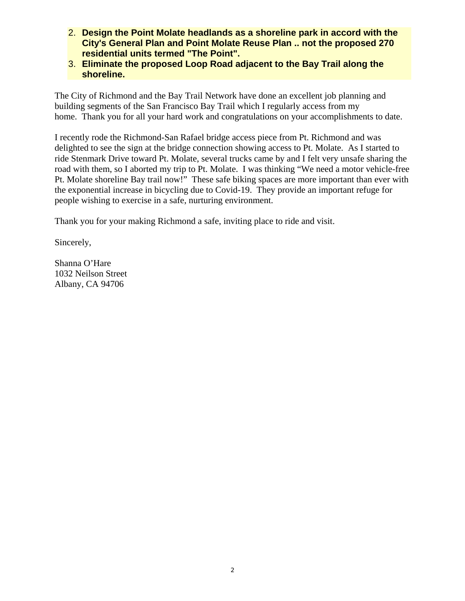- 2. **Design the Point Molate headlands as a shoreline park in accord with the City's General Plan and Point Molate Reuse Plan .. not the proposed 270 residential units termed "The Point".**
- 3. **Eliminate the proposed Loop Road adjacent to the Bay Trail along the shoreline.**

The City of Richmond and the Bay Trail Network have done an excellent job planning and building segments of the San Francisco Bay Trail which I regularly access from my home. Thank you for all your hard work and congratulations on your accomplishments to date.

I recently rode the Richmond-San Rafael bridge access piece from Pt. Richmond and was delighted to see the sign at the bridge connection showing access to Pt. Molate. As I started to ride Stenmark Drive toward Pt. Molate, several trucks came by and I felt very unsafe sharing the road with them, so I aborted my trip to Pt. Molate. I was thinking "We need a motor vehicle-free Pt. Molate shoreline Bay trail now!" These safe biking spaces are more important than ever with the exponential increase in bicycling due to Covid-19. They provide an important refuge for people wishing to exercise in a safe, nurturing environment.

Thank you for your making Richmond a safe, inviting place to ride and visit.

Sincerely,

Shanna O'Hare 1032 Neilson Street Albany, CA 94706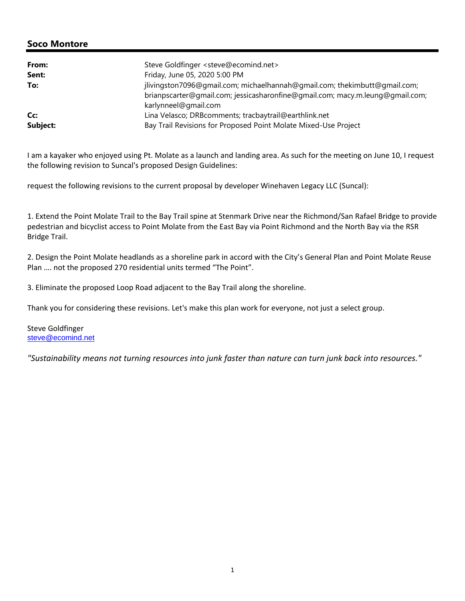| From:<br>Sent: | Steve Goldfinger <steve@ecomind.net><br/>Friday, June 05, 2020 5:00 PM</steve@ecomind.net>            |
|----------------|-------------------------------------------------------------------------------------------------------|
| To:            | jlivingston7096@gmail.com; michaelhannah@gmail.com; thekimbutt@gmail.com;                             |
|                | brianpscarter@qmail.com; jessicasharonfine@qmail.com; macy.m.leung@qmail.com;<br>karlynneel@gmail.com |
| Cc:            | Lina Velasco; DRBcomments; tracbaytrail@earthlink.net                                                 |
| Subject:       | Bay Trail Revisions for Proposed Point Molate Mixed-Use Project                                       |

I am a kayaker who enjoyed using Pt. Molate as a launch and landing area. As such for the meeting on June 10, I request the following revision to Suncal's proposed Design Guidelines:

request the following revisions to the current proposal by developer Winehaven Legacy LLC (Suncal):

1. Extend the Point Molate Trail to the Bay Trail spine at Stenmark Drive near the Richmond/San Rafael Bridge to provide pedestrian and bicyclist access to Point Molate from the East Bay via Point Richmond and the North Bay via the RSR Bridge Trail.

2. Design the Point Molate headlands as a shoreline park in accord with the City's General Plan and Point Molate Reuse Plan …. not the proposed 270 residential units termed "The Point".

3. Eliminate the proposed Loop Road adjacent to the Bay Trail along the shoreline.

Thank you for considering these revisions. Let's make this plan work for everyone, not just a select group.

Steve Goldfinger steve@ecomind.net

*"Sustainability means not turning resources into junk faster than nature can turn junk back into resources."*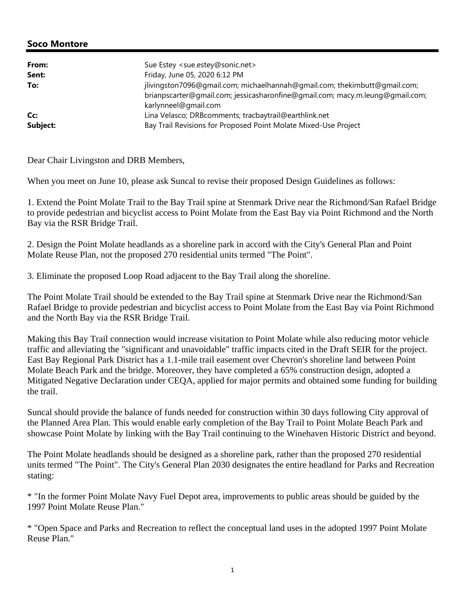| From:<br>Sent:  | Sue Estey <sue.estey@sonic.net><br/>Friday, June 05, 2020 6:12 PM</sue.estey@sonic.net>                                                                    |
|-----------------|------------------------------------------------------------------------------------------------------------------------------------------------------------|
| To:             | jlivingston7096@gmail.com; michaelhannah@gmail.com; thekimbutt@gmail.com;<br>brianpscarter@qmail.com; jessicasharonfine@qmail.com; macy.m.leung@qmail.com; |
| Cc:<br>Subject: | karlynneel@gmail.com<br>Lina Velasco; DRBcomments; tracbaytrail@earthlink.net<br>Bay Trail Revisions for Proposed Point Molate Mixed-Use Project           |

Dear Chair Livingston and DRB Members,

When you meet on June 10, please ask Suncal to revise their proposed Design Guidelines as follows:

1. Extend the Point Molate Trail to the Bay Trail spine at Stenmark Drive near the Richmond/San Rafael Bridge to provide pedestrian and bicyclist access to Point Molate from the East Bay via Point Richmond and the North Bay via the RSR Bridge Trail.

2. Design the Point Molate headlands as a shoreline park in accord with the City's General Plan and Point Molate Reuse Plan, not the proposed 270 residential units termed "The Point".

3. Eliminate the proposed Loop Road adjacent to the Bay Trail along the shoreline.

The Point Molate Trail should be extended to the Bay Trail spine at Stenmark Drive near the Richmond/San Rafael Bridge to provide pedestrian and bicyclist access to Point Molate from the East Bay via Point Richmond and the North Bay via the RSR Bridge Trail.

Making this Bay Trail connection would increase visitation to Point Molate while also reducing motor vehicle traffic and alleviating the "significant and unavoidable" traffic impacts cited in the Draft SEIR for the project. East Bay Regional Park District has a 1.1-mile trail easement over Chevron's shoreline land between Point Molate Beach Park and the bridge. Moreover, they have completed a 65% construction design, adopted a Mitigated Negative Declaration under CEQA, applied for major permits and obtained some funding for building the trail.

Suncal should provide the balance of funds needed for construction within 30 days following City approval of the Planned Area Plan. This would enable early completion of the Bay Trail to Point Molate Beach Park and showcase Point Molate by linking with the Bay Trail continuing to the Winehaven Historic District and beyond.

The Point Molate headlands should be designed as a shoreline park, rather than the proposed 270 residential units termed "The Point". The City's General Plan 2030 designates the entire headland for Parks and Recreation stating:

\* "In the former Point Molate Navy Fuel Depot area, improvements to public areas should be guided by the 1997 Point Molate Reuse Plan."

\* "Open Space and Parks and Recreation to reflect the conceptual land uses in the adopted 1997 Point Molate Reuse Plan."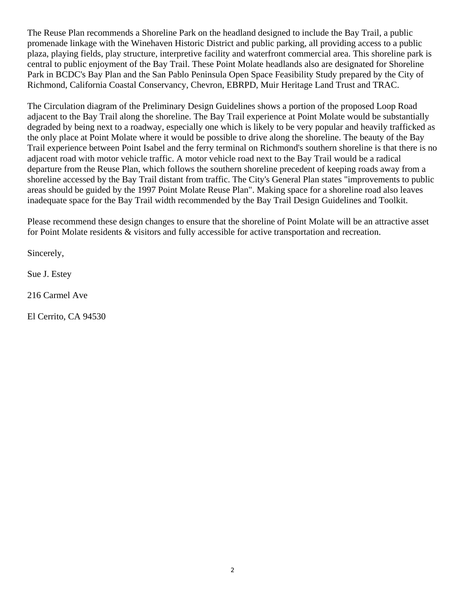The Reuse Plan recommends a Shoreline Park on the headland designed to include the Bay Trail, a public promenade linkage with the Winehaven Historic District and public parking, all providing access to a public plaza, playing fields, play structure, interpretive facility and waterfront commercial area. This shoreline park is central to public enjoyment of the Bay Trail. These Point Molate headlands also are designated for Shoreline Park in BCDC's Bay Plan and the San Pablo Peninsula Open Space Feasibility Study prepared by the City of Richmond, California Coastal Conservancy, Chevron, EBRPD, Muir Heritage Land Trust and TRAC.

The Circulation diagram of the Preliminary Design Guidelines shows a portion of the proposed Loop Road adjacent to the Bay Trail along the shoreline. The Bay Trail experience at Point Molate would be substantially degraded by being next to a roadway, especially one which is likely to be very popular and heavily trafficked as the only place at Point Molate where it would be possible to drive along the shoreline. The beauty of the Bay Trail experience between Point Isabel and the ferry terminal on Richmond's southern shoreline is that there is no adjacent road with motor vehicle traffic. A motor vehicle road next to the Bay Trail would be a radical departure from the Reuse Plan, which follows the southern shoreline precedent of keeping roads away from a shoreline accessed by the Bay Trail distant from traffic. The City's General Plan states "improvements to public areas should be guided by the 1997 Point Molate Reuse Plan". Making space for a shoreline road also leaves inadequate space for the Bay Trail width recommended by the Bay Trail Design Guidelines and Toolkit.

Please recommend these design changes to ensure that the shoreline of Point Molate will be an attractive asset for Point Molate residents & visitors and fully accessible for active transportation and recreation.

Sincerely,

Sue J. Estey

216 Carmel Ave

El Cerrito, CA 94530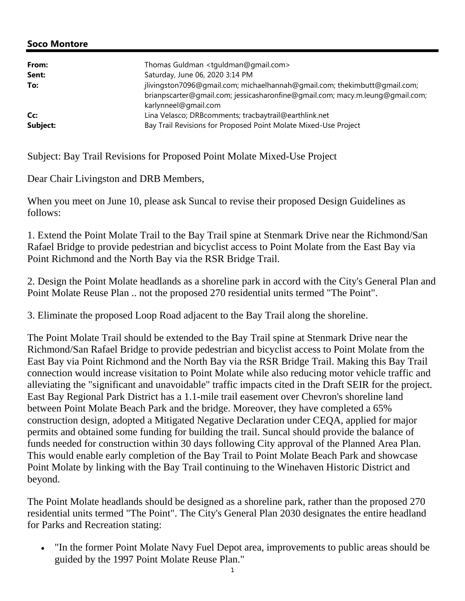| From:<br>Sent:<br>To: | Thomas Guldman <tguldman@gmail.com><br/>Saturday, June 06, 2020 3:14 PM<br/>jlivingston7096@gmail.com; michaelhannah@gmail.com; thekimbutt@gmail.com;<br/>brianpscarter@gmail.com; jessicasharonfine@gmail.com; macy.m.leung@gmail.com;</tguldman@gmail.com> |
|-----------------------|--------------------------------------------------------------------------------------------------------------------------------------------------------------------------------------------------------------------------------------------------------------|
| Cc:<br>Subject:       | karlynneel@gmail.com<br>Lina Velasco; DRBcomments; tracbaytrail@earthlink.net<br>Bay Trail Revisions for Proposed Point Molate Mixed-Use Project                                                                                                             |

Subject: Bay Trail Revisions for Proposed Point Molate Mixed-Use Project

Dear Chair Livingston and DRB Members,

When you meet on June 10, please ask Suncal to revise their proposed Design Guidelines as follows:

1. Extend the Point Molate Trail to the Bay Trail spine at Stenmark Drive near the Richmond/San Rafael Bridge to provide pedestrian and bicyclist access to Point Molate from the East Bay via Point Richmond and the North Bay via the RSR Bridge Trail.

2. Design the Point Molate headlands as a shoreline park in accord with the City's General Plan and Point Molate Reuse Plan .. not the proposed 270 residential units termed "The Point".

3. Eliminate the proposed Loop Road adjacent to the Bay Trail along the shoreline.

The Point Molate Trail should be extended to the Bay Trail spine at Stenmark Drive near the Richmond/San Rafael Bridge to provide pedestrian and bicyclist access to Point Molate from the East Bay via Point Richmond and the North Bay via the RSR Bridge Trail. Making this Bay Trail connection would increase visitation to Point Molate while also reducing motor vehicle traffic and alleviating the "significant and unavoidable" traffic impacts cited in the Draft SEIR for the project. East Bay Regional Park District has a 1.1-mile trail easement over Chevron's shoreline land between Point Molate Beach Park and the bridge. Moreover, they have completed a 65% construction design, adopted a Mitigated Negative Declaration under CEQA, applied for major permits and obtained some funding for building the trail. Suncal should provide the balance of funds needed for construction within 30 days following City approval of the Planned Area Plan. This would enable early completion of the Bay Trail to Point Molate Beach Park and showcase Point Molate by linking with the Bay Trail continuing to the Winehaven Historic District and beyond.

The Point Molate headlands should be designed as a shoreline park, rather than the proposed 270 residential units termed "The Point". The City's General Plan 2030 designates the entire headland for Parks and Recreation stating:

 "In the former Point Molate Navy Fuel Depot area, improvements to public areas should be guided by the 1997 Point Molate Reuse Plan."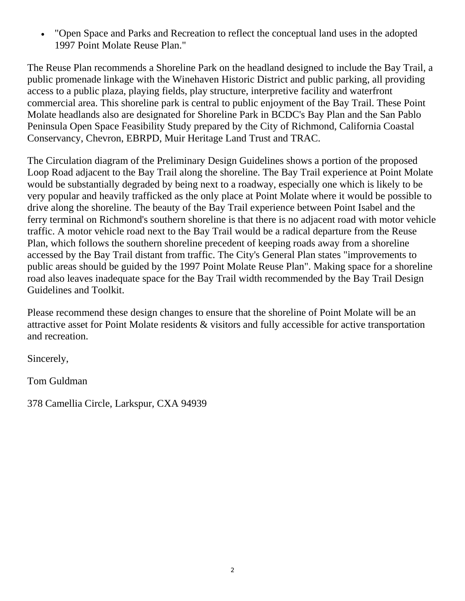"Open Space and Parks and Recreation to reflect the conceptual land uses in the adopted 1997 Point Molate Reuse Plan."

The Reuse Plan recommends a Shoreline Park on the headland designed to include the Bay Trail, a public promenade linkage with the Winehaven Historic District and public parking, all providing access to a public plaza, playing fields, play structure, interpretive facility and waterfront commercial area. This shoreline park is central to public enjoyment of the Bay Trail. These Point Molate headlands also are designated for Shoreline Park in BCDC's Bay Plan and the San Pablo Peninsula Open Space Feasibility Study prepared by the City of Richmond, California Coastal Conservancy, Chevron, EBRPD, Muir Heritage Land Trust and TRAC.

The Circulation diagram of the Preliminary Design Guidelines shows a portion of the proposed Loop Road adjacent to the Bay Trail along the shoreline. The Bay Trail experience at Point Molate would be substantially degraded by being next to a roadway, especially one which is likely to be very popular and heavily trafficked as the only place at Point Molate where it would be possible to drive along the shoreline. The beauty of the Bay Trail experience between Point Isabel and the ferry terminal on Richmond's southern shoreline is that there is no adjacent road with motor vehicle traffic. A motor vehicle road next to the Bay Trail would be a radical departure from the Reuse Plan, which follows the southern shoreline precedent of keeping roads away from a shoreline accessed by the Bay Trail distant from traffic. The City's General Plan states "improvements to public areas should be guided by the 1997 Point Molate Reuse Plan". Making space for a shoreline road also leaves inadequate space for the Bay Trail width recommended by the Bay Trail Design Guidelines and Toolkit.

Please recommend these design changes to ensure that the shoreline of Point Molate will be an attractive asset for Point Molate residents & visitors and fully accessible for active transportation and recreation.

Sincerely,

Tom Guldman

378 Camellia Circle, Larkspur, CXA 94939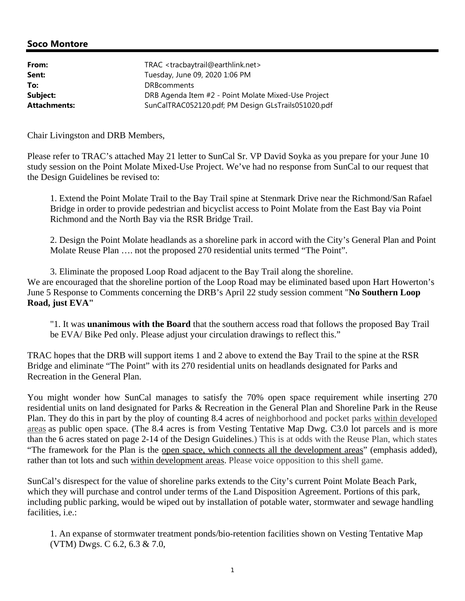| From:               | TRAC <tracbaytrail@earthlink.net></tracbaytrail@earthlink.net> |
|---------------------|----------------------------------------------------------------|
| Sent:               | Tuesday, June 09, 2020 1:06 PM                                 |
| To:                 | <b>DRBcomments</b>                                             |
| Subject:            | DRB Agenda Item #2 - Point Molate Mixed-Use Project            |
| <b>Attachments:</b> | SunCalTRAC052120.pdf; PM Design GLsTrails051020.pdf            |

Chair Livingston and DRB Members,

Please refer to TRAC's attached May 21 letter to SunCal Sr. VP David Soyka as you prepare for your June 10 study session on the Point Molate Mixed-Use Project. We've had no response from SunCal to our request that the Design Guidelines be revised to:

1. Extend the Point Molate Trail to the Bay Trail spine at Stenmark Drive near the Richmond/San Rafael Bridge in order to provide pedestrian and bicyclist access to Point Molate from the East Bay via Point Richmond and the North Bay via the RSR Bridge Trail.

2. Design the Point Molate headlands as a shoreline park in accord with the City's General Plan and Point Molate Reuse Plan …. not the proposed 270 residential units termed "The Point".

3. Eliminate the proposed Loop Road adjacent to the Bay Trail along the shoreline. We are encouraged that the shoreline portion of the Loop Road may be eliminated based upon Hart Howerton's June 5 Response to Comments concerning the DRB's April 22 study session comment "**No Southern Loop Road, just EVA"**

"1. It was **unanimous with the Board** that the southern access road that follows the proposed Bay Trail be EVA/ Bike Ped only. Please adjust your circulation drawings to reflect this."

TRAC hopes that the DRB will support items 1 and 2 above to extend the Bay Trail to the spine at the RSR Bridge and eliminate "The Point" with its 270 residential units on headlands designated for Parks and Recreation in the General Plan.

You might wonder how SunCal manages to satisfy the 70% open space requirement while inserting 270 residential units on land designated for Parks & Recreation in the General Plan and Shoreline Park in the Reuse Plan. They do this in part by the ploy of counting 8.4 acres of neighborhood and pocket parks within developed areas as public open space. (The 8.4 acres is from Vesting Tentative Map Dwg. C3.0 lot parcels and is more than the 6 acres stated on page 2-14 of the Design Guidelines.) This is at odds with the Reuse Plan, which states "The framework for the Plan is the open space, which connects all the development areas" (emphasis added), rather than tot lots and such within development areas. Please voice opposition to this shell game.

SunCal's disrespect for the value of shoreline parks extends to the City's current Point Molate Beach Park, which they will purchase and control under terms of the Land Disposition Agreement. Portions of this park, including public parking, would be wiped out by installation of potable water, stormwater and sewage handling facilities, i.e.:

1. An expanse of stormwater treatment ponds/bio-retention facilities shown on Vesting Tentative Map (VTM) Dwgs. C 6.2, 6.3 & 7.0,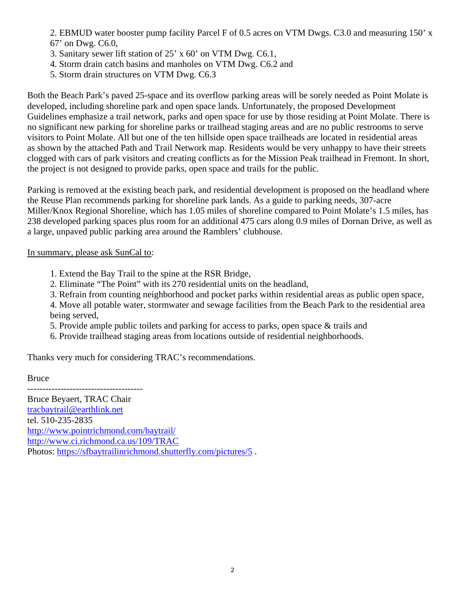2. EBMUD water booster pump facility Parcel F of 0.5 acres on VTM Dwgs. C3.0 and measuring 150' x 67' on Dwg. C6.0,

- 3. Sanitary sewer lift station of 25' x 60' on VTM Dwg. C6.1,
- 4. Storm drain catch basins and manholes on VTM Dwg. C6.2 and
- 5. Storm drain structures on VTM Dwg. C6.3

Both the Beach Park's paved 25-space and its overflow parking areas will be sorely needed as Point Molate is developed, including shoreline park and open space lands. Unfortunately, the proposed Development Guidelines emphasize a trail network, parks and open space for use by those residing at Point Molate. There is no significant new parking for shoreline parks or trailhead staging areas and are no public restrooms to serve visitors to Point Molate. All but one of the ten hillside open space trailheads are located in residential areas as shown by the attached Path and Trail Network map. Residents would be very unhappy to have their streets clogged with cars of park visitors and creating conflicts as for the Mission Peak trailhead in Fremont. In short, the project is not designed to provide parks, open space and trails for the public.

Parking is removed at the existing beach park, and residential development is proposed on the headland where the Reuse Plan recommends parking for shoreline park lands. As a guide to parking needs, 307-acre Miller/Knox Regional Shoreline, which has 1.05 miles of shoreline compared to Point Molate's 1.5 miles, has 238 developed parking spaces plus room for an additional 475 cars along 0.9 miles of Dornan Drive, as well as a large, unpaved public parking area around the Ramblers' clubhouse.

### In summary, please ask SunCal to:

- 1. Extend the Bay Trail to the spine at the RSR Bridge,
- 2. Eliminate "The Point" with its 270 residential units on the headland,
- 3. Refrain from counting neighborhood and pocket parks within residential areas as public open space,

4. Move all potable water, stormwater and sewage facilities from the Beach Park to the residential area being served,

- 5. Provide ample public toilets and parking for access to parks, open space & trails and
- 6. Provide trailhead staging areas from locations outside of residential neighborhoods.

Thanks very much for considering TRAC's recommendations.

Bruce

-------------------------------------- Bruce Beyaert, TRAC Chair tracbaytrail@earthlink.net tel. 510-235-2835 http://www.pointrichmond.com/baytrail/ http://www.ci.richmond.ca.us/109/TRAC Photos: https://sfbaytrailinrichmond.shutterfly.com/pictures/5 .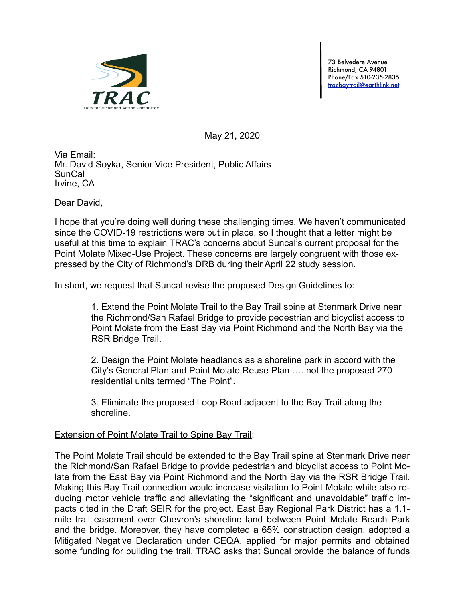

73 Belvedere Avenue Richmond, CA 94801 Phone/Fax 510-235-2835 [tracbaytrail@earthlink.net](mailto:tracbaytrail@earthlink.net)

May 21, 2020

Via Email: Mr. David Soyka, Senior Vice President, Public Affairs SunCal Irvine, CA

Dear David,

I hope that you're doing well during these challenging times. We haven't communicated since the COVID-19 restrictions were put in place, so I thought that a letter might be useful at this time to explain TRAC's concerns about Suncal's current proposal for the Point Molate Mixed-Use Project. These concerns are largely congruent with those expressed by the City of Richmond's DRB during their April 22 study session.

In short, we request that Suncal revise the proposed Design Guidelines to:

1. Extend the Point Molate Trail to the Bay Trail spine at Stenmark Drive near the Richmond/San Rafael Bridge to provide pedestrian and bicyclist access to Point Molate from the East Bay via Point Richmond and the North Bay via the RSR Bridge Trail.

2. Design the Point Molate headlands as a shoreline park in accord with the City's General Plan and Point Molate Reuse Plan …. not the proposed 270 residential units termed "The Point".

3. Eliminate the proposed Loop Road adjacent to the Bay Trail along the shoreline.

### **Extension of Point Molate Trail to Spine Bay Trail:**

The Point Molate Trail should be extended to the Bay Trail spine at Stenmark Drive near the Richmond/San Rafael Bridge to provide pedestrian and bicyclist access to Point Molate from the East Bay via Point Richmond and the North Bay via the RSR Bridge Trail. Making this Bay Trail connection would increase visitation to Point Molate while also reducing motor vehicle traffic and alleviating the "significant and unavoidable" traffic impacts cited in the Draft SEIR for the project. East Bay Regional Park District has a 1.1 mile trail easement over Chevron's shoreline land between Point Molate Beach Park and the bridge. Moreover, they have completed a 65% construction design, adopted a Mitigated Negative Declaration under CEQA, applied for major permits and obtained some funding for building the trail. TRAC asks that Suncal provide the balance of funds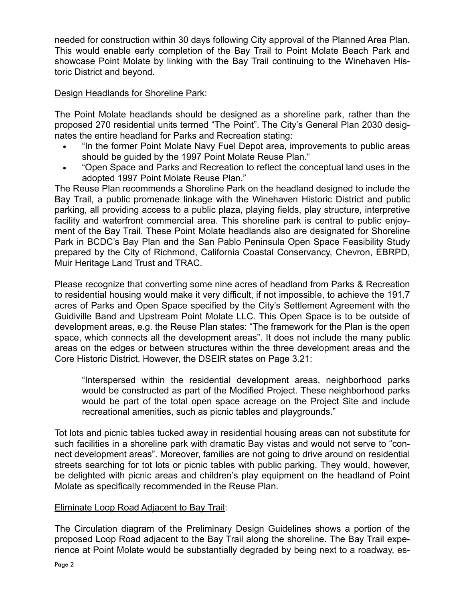needed for construction within 30 days following City approval of the Planned Area Plan. This would enable early completion of the Bay Trail to Point Molate Beach Park and showcase Point Molate by linking with the Bay Trail continuing to the Winehaven Historic District and beyond.

### Design Headlands for Shoreline Park:

The Point Molate headlands should be designed as a shoreline park, rather than the proposed 270 residential units termed "The Point". The City's General Plan 2030 designates the entire headland for Parks and Recreation stating:

- "In the former Point Molate Navy Fuel Depot area, improvements to public areas should be guided by the 1997 Point Molate Reuse Plan."
- "Open Space and Parks and Recreation to reflect the conceptual land uses in the adopted 1997 Point Molate Reuse Plan."

The Reuse Plan recommends a Shoreline Park on the headland designed to include the Bay Trail, a public promenade linkage with the Winehaven Historic District and public parking, all providing access to a public plaza, playing fields, play structure, interpretive facility and waterfront commercial area. This shoreline park is central to public enjoyment of the Bay Trail. These Point Molate headlands also are designated for Shoreline Park in BCDC's Bay Plan and the San Pablo Peninsula Open Space Feasibility Study prepared by the City of Richmond, California Coastal Conservancy, Chevron, EBRPD, Muir Heritage Land Trust and TRAC.

Please recognize that converting some nine acres of headland from Parks & Recreation to residential housing would make it very difficult, if not impossible, to achieve the 191.7 acres of Parks and Open Space specified by the City's Settlement Agreement with the Guidiville Band and Upstream Point Molate LLC. This Open Space is to be outside of development areas, e.g. the Reuse Plan states: "The framework for the Plan is the open space, which connects all the development areas". It does not include the many public areas on the edges or between structures within the three development areas and the Core Historic District. However, the DSEIR states on Page 3.21:

"Interspersed within the residential development areas, neighborhood parks would be constructed as part of the Modified Project. These neighborhood parks would be part of the total open space acreage on the Project Site and include recreational amenities, such as picnic tables and playgrounds."

Tot lots and picnic tables tucked away in residential housing areas can not substitute for such facilities in a shoreline park with dramatic Bay vistas and would not serve to "connect development areas". Moreover, families are not going to drive around on residential streets searching for tot lots or picnic tables with public parking. They would, however, be delighted with picnic areas and children's play equipment on the headland of Point Molate as specifically recommended in the Reuse Plan.

### Eliminate Loop Road Adjacent to Bay Trail:

The Circulation diagram of the Preliminary Design Guidelines shows a portion of the proposed Loop Road adjacent to the Bay Trail along the shoreline. The Bay Trail experience at Point Molate would be substantially degraded by being next to a roadway, es-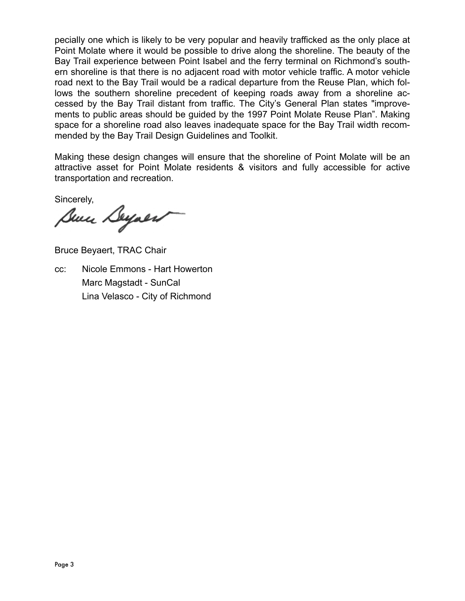pecially one which is likely to be very popular and heavily trafficked as the only place at Point Molate where it would be possible to drive along the shoreline. The beauty of the Bay Trail experience between Point Isabel and the ferry terminal on Richmond's southern shoreline is that there is no adjacent road with motor vehicle traffic. A motor vehicle road next to the Bay Trail would be a radical departure from the Reuse Plan, which follows the southern shoreline precedent of keeping roads away from a shoreline accessed by the Bay Trail distant from traffic. The City's General Plan states "improvements to public areas should be guided by the 1997 Point Molate Reuse Plan". Making space for a shoreline road also leaves inadequate space for the Bay Trail width recommended by the Bay Trail Design Guidelines and Toolkit.

Making these design changes will ensure that the shoreline of Point Molate will be an attractive asset for Point Molate residents & visitors and fully accessible for active transportation and recreation.

Sincerely,

Bun Deyaer

Bruce Beyaert, TRAC Chair

cc: Nicole Emmons - Hart Howerton Marc Magstadt - SunCal Lina Velasco - City of Richmond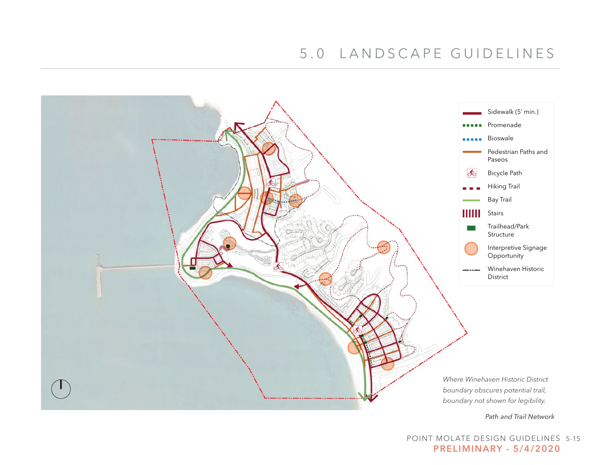

POINT MOLATE DESIGN GUIDELINES 5-15 PRELIMINARY - 5/4/2020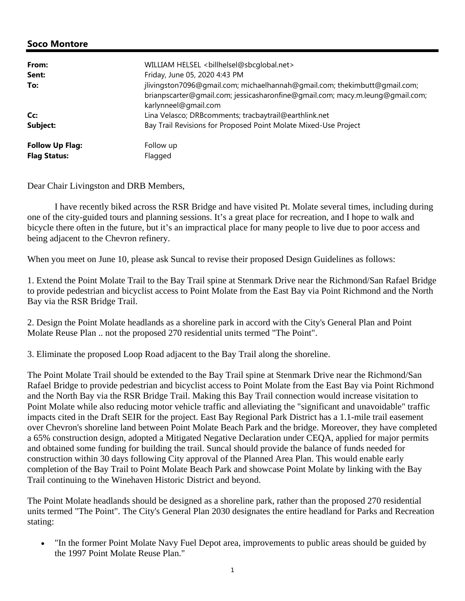| From:<br>Sent:         | WILLIAM HELSEL<br>billhelsel@sbcqlobal.net><br>Friday, June 05, 2020 4:43 PM                                                                                                       |
|------------------------|------------------------------------------------------------------------------------------------------------------------------------------------------------------------------------|
| To:                    | jlivingston7096@gmail.com; michaelhannah@gmail.com; thekimbutt@gmail.com;<br>brianpscarter@gmail.com; jessicasharonfine@gmail.com; macy.m.leung@gmail.com;<br>karlynneel@gmail.com |
| Cc:                    | Lina Velasco; DRBcomments; tracbaytrail@earthlink.net                                                                                                                              |
| Subject:               | Bay Trail Revisions for Proposed Point Molate Mixed-Use Project                                                                                                                    |
| <b>Follow Up Flag:</b> | Follow up                                                                                                                                                                          |
| <b>Flag Status:</b>    | Flagged                                                                                                                                                                            |

Dear Chair Livingston and DRB Members,

 I have recently biked across the RSR Bridge and have visited Pt. Molate several times, including during one of the city-guided tours and planning sessions. It's a great place for recreation, and I hope to walk and bicycle there often in the future, but it's an impractical place for many people to live due to poor access and being adjacent to the Chevron refinery.

When you meet on June 10, please ask Suncal to revise their proposed Design Guidelines as follows:

1. Extend the Point Molate Trail to the Bay Trail spine at Stenmark Drive near the Richmond/San Rafael Bridge to provide pedestrian and bicyclist access to Point Molate from the East Bay via Point Richmond and the North Bay via the RSR Bridge Trail.

2. Design the Point Molate headlands as a shoreline park in accord with the City's General Plan and Point Molate Reuse Plan .. not the proposed 270 residential units termed "The Point".

3. Eliminate the proposed Loop Road adjacent to the Bay Trail along the shoreline.

The Point Molate Trail should be extended to the Bay Trail spine at Stenmark Drive near the Richmond/San Rafael Bridge to provide pedestrian and bicyclist access to Point Molate from the East Bay via Point Richmond and the North Bay via the RSR Bridge Trail. Making this Bay Trail connection would increase visitation to Point Molate while also reducing motor vehicle traffic and alleviating the "significant and unavoidable" traffic impacts cited in the Draft SEIR for the project. East Bay Regional Park District has a 1.1-mile trail easement over Chevron's shoreline land between Point Molate Beach Park and the bridge. Moreover, they have completed a 65% construction design, adopted a Mitigated Negative Declaration under CEQA, applied for major permits and obtained some funding for building the trail. Suncal should provide the balance of funds needed for construction within 30 days following City approval of the Planned Area Plan. This would enable early completion of the Bay Trail to Point Molate Beach Park and showcase Point Molate by linking with the Bay Trail continuing to the Winehaven Historic District and beyond.

The Point Molate headlands should be designed as a shoreline park, rather than the proposed 270 residential units termed "The Point". The City's General Plan 2030 designates the entire headland for Parks and Recreation stating:

• "In the former Point Molate Navy Fuel Depot area, improvements to public areas should be guided by the 1997 Point Molate Reuse Plan."